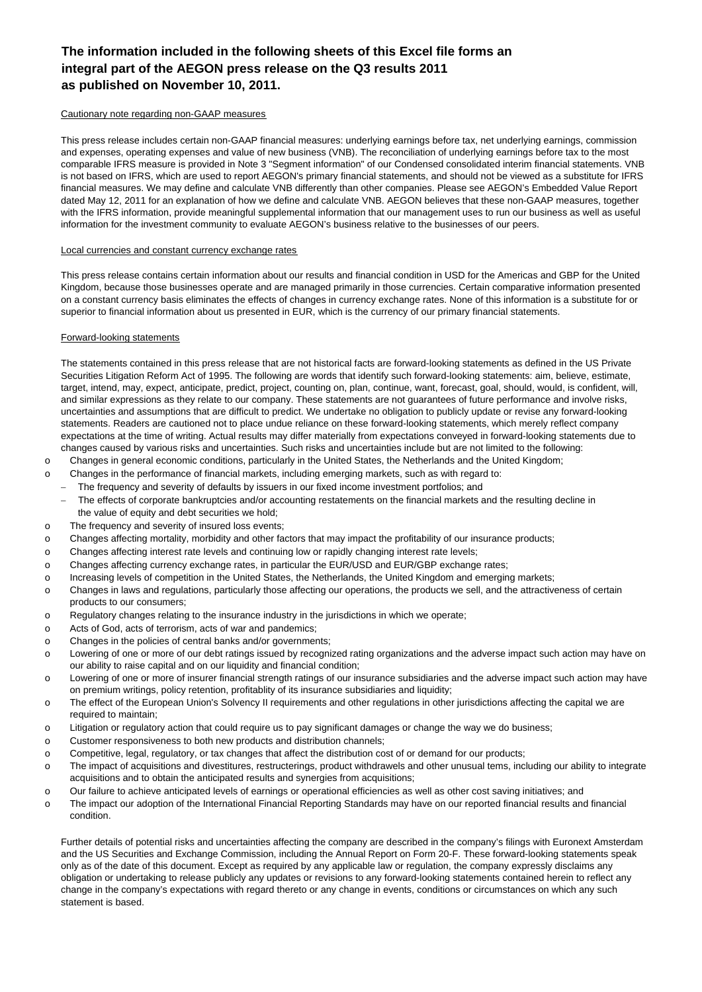## **The information included in the following sheets of this Excel file forms an integral part of the AEGON press release on the Q3 results 2011 as published on November 10, 2011.**

#### Cautionary note regarding non-GAAP measures

This press release includes certain non-GAAP financial measures: underlying earnings before tax, net underlying earnings, commission and expenses, operating expenses and value of new business (VNB). The reconciliation of underlying earnings before tax to the most comparable IFRS measure is provided in Note 3 "Segment information" of our Condensed consolidated interim financial statements. VNB is not based on IFRS, which are used to report AEGON's primary financial statements, and should not be viewed as a substitute for IFRS financial measures. We may define and calculate VNB differently than other companies. Please see AEGON's Embedded Value Report dated May 12, 2011 for an explanation of how we define and calculate VNB. AEGON believes that these non-GAAP measures, together with the IFRS information, provide meaningful supplemental information that our management uses to run our business as well as useful information for the investment community to evaluate AEGON's business relative to the businesses of our peers.

#### Local currencies and constant currency exchange rates

This press release contains certain information about our results and financial condition in USD for the Americas and GBP for the United Kingdom, because those businesses operate and are managed primarily in those currencies. Certain comparative information presented on a constant currency basis eliminates the effects of changes in currency exchange rates. None of this information is a substitute for or superior to financial information about us presented in EUR, which is the currency of our primary financial statements.

#### Forward-looking statements

The statements contained in this press release that are not historical facts are forward-looking statements as defined in the US Private Securities Litigation Reform Act of 1995. The following are words that identify such forward-looking statements: aim, believe, estimate, target, intend, may, expect, anticipate, predict, project, counting on, plan, continue, want, forecast, goal, should, would, is confident, will, and similar expressions as they relate to our company. These statements are not guarantees of future performance and involve risks, uncertainties and assumptions that are difficult to predict. We undertake no obligation to publicly update or revise any forward-looking statements. Readers are cautioned not to place undue reliance on these forward-looking statements, which merely reflect company expectations at the time of writing. Actual results may differ materially from expectations conveyed in forward-looking statements due to changes caused by various risks and uncertainties. Such risks and uncertainties include but are not limited to the following:

- o Changes in general economic conditions, particularly in the United States, the Netherlands and the United Kingdom;
- o Changes in the performance of financial markets, including emerging markets, such as with regard to:
- − The frequency and severity of defaults by issuers in our fixed income investment portfolios; and
	- The effects of corporate bankruptcies and/or accounting restatements on the financial markets and the resulting decline in the value of equity and debt securities we hold:
- o The frequency and severity of insured loss events;
- o Changes affecting mortality, morbidity and other factors that may impact the profitability of our insurance products;
- o Changes affecting interest rate levels and continuing low or rapidly changing interest rate levels;
- o Changes affecting currency exchange rates, in particular the EUR/USD and EUR/GBP exchange rates;
- o Increasing levels of competition in the United States, the Netherlands, the United Kingdom and emerging markets;
- o Changes in laws and regulations, particularly those affecting our operations, the products we sell, and the attractiveness of certain products to our consumers;
- o Regulatory changes relating to the insurance industry in the jurisdictions in which we operate;
- o Acts of God, acts of terrorism, acts of war and pandemics;
- o Changes in the policies of central banks and/or governments;
- o Lowering of one or more of our debt ratings issued by recognized rating organizations and the adverse impact such action may have on our ability to raise capital and on our liquidity and financial condition;
- o Lowering of one or more of insurer financial strength ratings of our insurance subsidiaries and the adverse impact such action may have on premium writings, policy retention, profitablity of its insurance subsidiaries and liquidity;
- o The effect of the European Union's Solvency II requirements and other regulations in other jurisdictions affecting the capital we are required to maintain;
- o Litigation or regulatory action that could require us to pay significant damages or change the way we do business;
- o Customer responsiveness to both new products and distribution channels;
- o Competitive, legal, regulatory, or tax changes that affect the distribution cost of or demand for our products;
- o The impact of acquisitions and divestitures, restructerings, product withdrawels and other unusual tems, including our ability to integrate acquisitions and to obtain the anticipated results and synergies from acquisitions;
- o Our failure to achieve anticipated levels of earnings or operational efficiencies as well as other cost saving initiatives; and
- o The impact our adoption of the International Financial Reporting Standards may have on our reported financial results and financial condition.

Further details of potential risks and uncertainties affecting the company are described in the company's filings with Euronext Amsterdam and the US Securities and Exchange Commission, including the Annual Report on Form 20-F. These forward-looking statements speak only as of the date of this document. Except as required by any applicable law or regulation, the company expressly disclaims any obligation or undertaking to release publicly any updates or revisions to any forward-looking statements contained herein to reflect any change in the company's expectations with regard thereto or any change in events, conditions or circumstances on which any such statement is based.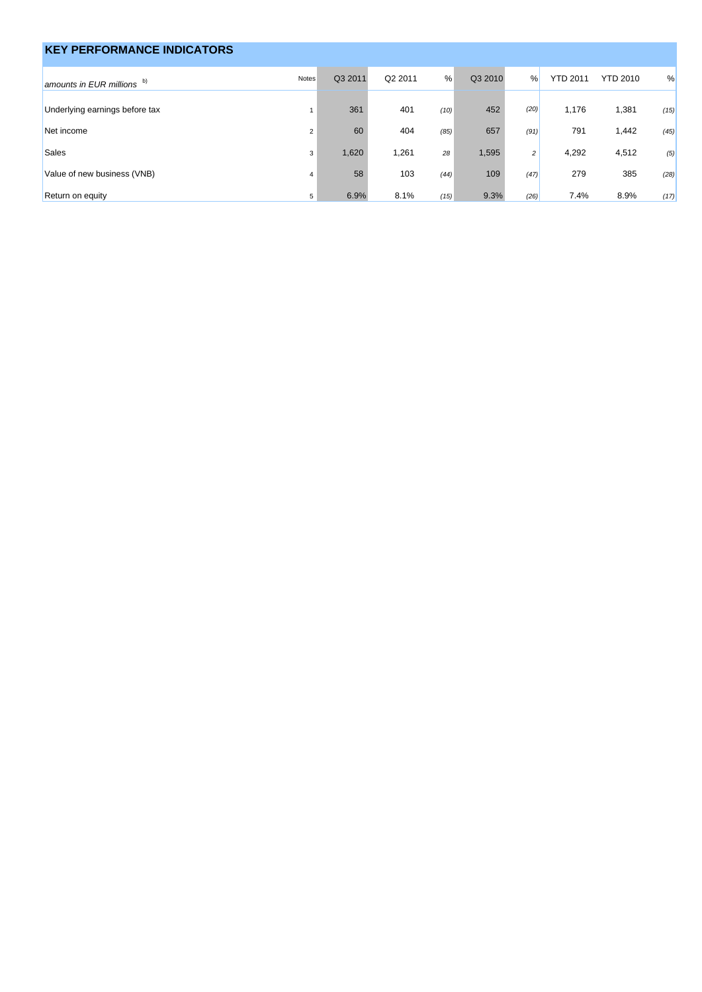| <b>KEY PERFORMANCE INDICATORS</b> |                |         |         |      |         |      |                 |                 |      |
|-----------------------------------|----------------|---------|---------|------|---------|------|-----------------|-----------------|------|
| amounts in EUR millions $b)$      | Notes          | Q3 2011 | Q2 2011 | %    | Q3 2010 | $\%$ | <b>YTD 2011</b> | <b>YTD 2010</b> | %    |
| Underlying earnings before tax    |                | 361     | 401     | (10) | 452     | (20) | 1,176           | 1,381           | (15) |
| Net income                        | $\overline{2}$ | 60      | 404     | (85) | 657     | (91) | 791             | 1,442           | (45) |
| <b>Sales</b>                      | 3              | 1,620   | 1,261   | 28   | 1,595   | 2    | 4,292           | 4,512           | (5)  |
| Value of new business (VNB)       | $\overline{4}$ | 58      | 103     | (44) | 109     | (47) | 279             | 385             | (28) |
| Return on equity                  | 5              | 6.9%    | 8.1%    | (15) | 9.3%    | (26) | 7.4%            | 8.9%            | (17) |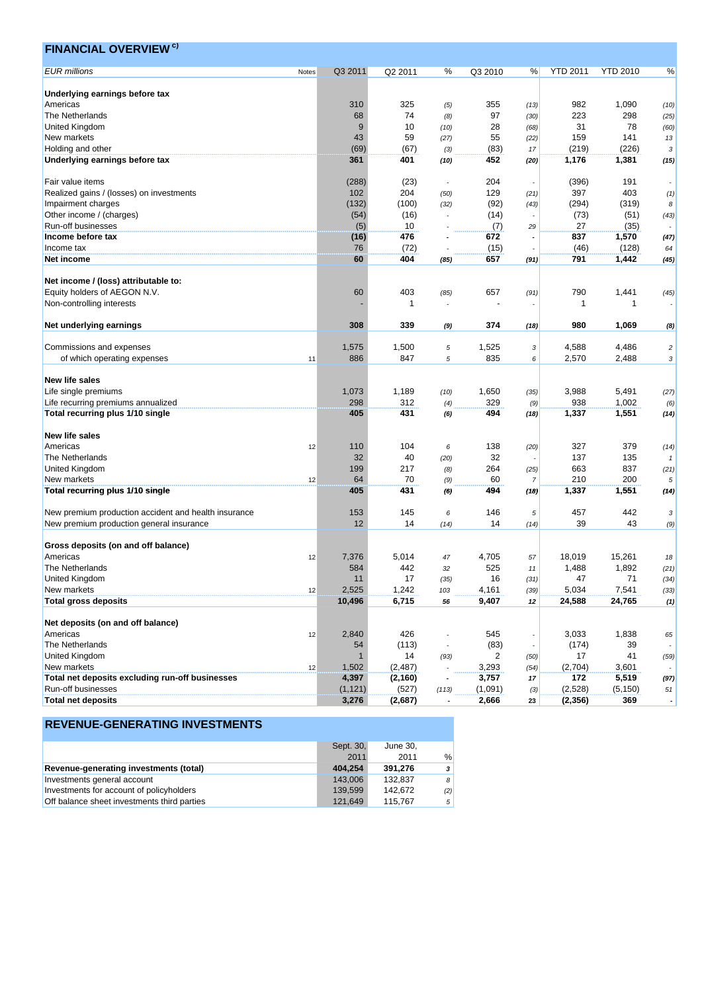| <b>EUR</b> millions<br>Q3 2011<br>Q2 2011<br>%<br>Q3 2010<br><b>YTD 2011</b><br><b>YTD 2010</b><br>%<br>%<br>Notes<br>Underlying earnings before tax<br>Americas<br>310<br>325<br>355<br>982<br>1,090<br>(13)<br>(5)<br>(10)<br>74<br>97<br>223<br>298<br>The Netherlands<br>68<br>(8)<br>(30)<br>(25)<br>9<br>10<br>28<br>31<br>78<br>United Kingdom<br>(60)<br>(10)<br>(68)<br>43<br>59<br>55<br>159<br>141<br>New markets<br>(27)<br>(22)<br>13<br>Holding and other<br>(69)<br>(67)<br>(83)<br>(219)<br>(226)<br>(3)<br>17<br>3<br>1,176<br>Underlying earnings before tax<br>361<br>401<br>452<br>1,381<br>(10)<br>(15)<br>(20)<br>Fair value items<br>(288)<br>(23)<br>204<br>(396)<br>191<br>204<br>397<br>403<br>Realized gains / (losses) on investments<br>102<br>129<br>(50)<br>(21)<br>(1)<br>(132)<br>(294)<br>Impairment charges<br>(100)<br>(92)<br>(319)<br>(32)<br>(43)<br>8<br>(51)<br>Other income / (charges)<br>(54)<br>(16)<br>(14)<br>(73)<br>(43)<br>27<br>Run-off businesses<br>(5)<br>10<br>(7)<br>(35)<br>29<br>1,570<br>Income before tax<br>476<br>672<br>837<br>(16)<br>(47)<br>Income tax<br>76<br>(72)<br>(15)<br>(46)<br>(128)<br>64<br>60<br>404<br>657<br>791<br>1,442<br>Net income<br>(45)<br>(85)<br>(91)<br>Net income / (loss) attributable to:<br>Equity holders of AEGON N.V.<br>60<br>403<br>657<br>790<br>1,441<br>(85)<br>(91)<br>(45)<br>Non-controlling interests<br>1<br>$\mathbf 1$<br>-1<br>374<br>Net underlying earnings<br>308<br>339<br>980<br>1,069<br>(18)<br>(9)<br>(8)<br>Commissions and expenses<br>1,575<br>1,500<br>1,525<br>4,588<br>4,486<br>5<br>$\overline{c}$<br>3<br>886<br>847<br>835<br>2,488<br>2,570<br>of which operating expenses<br>5<br>3<br>11<br>6<br><b>New life sales</b><br>Life single premiums<br>1,073<br>1,189<br>1,650<br>3,988<br>5,491<br>(10)<br>(27)<br>(35)<br>298<br>312<br>329<br>938<br>1,002<br>Life recurring premiums annualized<br>(4)<br>(9)<br>(6)<br>405<br>431<br>1,337<br>1,551<br>Total recurring plus 1/10 single<br>494<br>(6)<br>(18)<br>(14)<br><b>New life sales</b><br>104<br>138<br>327<br>379<br>Americas<br>110<br>12<br>6<br>(20)<br>(14)<br>32<br>40<br>32<br>137<br>135<br>The Netherlands<br>(20)<br>264<br>663<br>837<br>United Kingdom<br>199<br>217<br>(8)<br>(25)<br>(21)<br>210<br>200<br>New markets<br>64<br>70<br>60<br>(9)<br>$\overline{7}$<br>5<br>12<br>Total recurring plus 1/10 single<br>405<br>431<br>494<br>1,337<br>1,551<br>(6)<br>(18)<br>(14)<br>New premium production accident and health insurance<br>153<br>145<br>146<br>457<br>442<br>6<br>5<br>3<br>39<br>43<br>New premium production general insurance<br>12<br>14<br>14<br>(14)<br>(9)<br>(14)<br>Gross deposits (on and off balance)<br>7,376<br>5,014<br>4,705<br>18,019<br>15,261<br>Americas<br>12<br>47<br>57<br>18<br>584<br>442<br>525<br>1,488<br>1,892<br>The Netherlands<br>32<br>$11\,$<br>(21)<br>United Kingdom<br>17<br>71<br>11<br>16<br>47<br>(34)<br>(35)<br>(31)<br>New markets<br>2,525<br>1,242<br>5,034<br>7,541<br>4,161<br>(33)<br>12<br>103<br>(39)<br><b>Total gross deposits</b><br>6,715<br>24,765<br>10,496<br>9,407<br>24,588<br>56<br>12<br>(1)<br>Net deposits (on and off balance)<br>2,840<br>426<br>545<br>1,838<br>Americas<br>3,033<br>12<br>65<br>The Netherlands<br>(83)<br>(113)<br>(174)<br>39<br>54<br>United Kingdom<br>14<br>2<br>17<br>41<br>(93)<br>(50)<br>(59)<br>New markets<br>1,502<br>(2, 487)<br>3,293<br>(2,704)<br>3,601<br>(54)<br>12<br>Total net deposits excluding run-off businesses<br>3,757<br>4,397<br>(2, 160)<br>172<br>5,519<br>17<br>(97)<br>Run-off businesses<br>(2,528)<br>(1, 121)<br>(527)<br>(1,091)<br>(113)<br>(5, 150)<br>51<br>(3)<br><b>Total net deposits</b><br>3,276<br>(2,687)<br>2,666<br>(2,356)<br>369<br>23<br>$\overline{\phantom{a}}$ | <b>FINANCIAL OVERVIEW<sup>c)</sup></b> |  |  |  |  |  |
|----------------------------------------------------------------------------------------------------------------------------------------------------------------------------------------------------------------------------------------------------------------------------------------------------------------------------------------------------------------------------------------------------------------------------------------------------------------------------------------------------------------------------------------------------------------------------------------------------------------------------------------------------------------------------------------------------------------------------------------------------------------------------------------------------------------------------------------------------------------------------------------------------------------------------------------------------------------------------------------------------------------------------------------------------------------------------------------------------------------------------------------------------------------------------------------------------------------------------------------------------------------------------------------------------------------------------------------------------------------------------------------------------------------------------------------------------------------------------------------------------------------------------------------------------------------------------------------------------------------------------------------------------------------------------------------------------------------------------------------------------------------------------------------------------------------------------------------------------------------------------------------------------------------------------------------------------------------------------------------------------------------------------------------------------------------------------------------------------------------------------------------------------------------------------------------------------------------------------------------------------------------------------------------------------------------------------------------------------------------------------------------------------------------------------------------------------------------------------------------------------------------------------------------------------------------------------------------------------------------------------------------------------------------------------------------------------------------------------------------------------------------------------------------------------------------------------------------------------------------------------------------------------------------------------------------------------------------------------------------------------------------------------------------------------------------------------------------------------------------------------------------------------------------------------------------------------------------------------------------------------------------------------------------------------------------------------------------------------------------------------------------------------------------------------------------------------------------------------------------------------------------------------------------------------------------------------------------------------------------------------------------------------------------------------------------------------------------------------------------------------------------------------------------------------------------------------------|----------------------------------------|--|--|--|--|--|
|                                                                                                                                                                                                                                                                                                                                                                                                                                                                                                                                                                                                                                                                                                                                                                                                                                                                                                                                                                                                                                                                                                                                                                                                                                                                                                                                                                                                                                                                                                                                                                                                                                                                                                                                                                                                                                                                                                                                                                                                                                                                                                                                                                                                                                                                                                                                                                                                                                                                                                                                                                                                                                                                                                                                                                                                                                                                                                                                                                                                                                                                                                                                                                                                                                                                                                                                                                                                                                                                                                                                                                                                                                                                                                                                                                                                                                  |                                        |  |  |  |  |  |
|                                                                                                                                                                                                                                                                                                                                                                                                                                                                                                                                                                                                                                                                                                                                                                                                                                                                                                                                                                                                                                                                                                                                                                                                                                                                                                                                                                                                                                                                                                                                                                                                                                                                                                                                                                                                                                                                                                                                                                                                                                                                                                                                                                                                                                                                                                                                                                                                                                                                                                                                                                                                                                                                                                                                                                                                                                                                                                                                                                                                                                                                                                                                                                                                                                                                                                                                                                                                                                                                                                                                                                                                                                                                                                                                                                                                                                  |                                        |  |  |  |  |  |
|                                                                                                                                                                                                                                                                                                                                                                                                                                                                                                                                                                                                                                                                                                                                                                                                                                                                                                                                                                                                                                                                                                                                                                                                                                                                                                                                                                                                                                                                                                                                                                                                                                                                                                                                                                                                                                                                                                                                                                                                                                                                                                                                                                                                                                                                                                                                                                                                                                                                                                                                                                                                                                                                                                                                                                                                                                                                                                                                                                                                                                                                                                                                                                                                                                                                                                                                                                                                                                                                                                                                                                                                                                                                                                                                                                                                                                  |                                        |  |  |  |  |  |
|                                                                                                                                                                                                                                                                                                                                                                                                                                                                                                                                                                                                                                                                                                                                                                                                                                                                                                                                                                                                                                                                                                                                                                                                                                                                                                                                                                                                                                                                                                                                                                                                                                                                                                                                                                                                                                                                                                                                                                                                                                                                                                                                                                                                                                                                                                                                                                                                                                                                                                                                                                                                                                                                                                                                                                                                                                                                                                                                                                                                                                                                                                                                                                                                                                                                                                                                                                                                                                                                                                                                                                                                                                                                                                                                                                                                                                  |                                        |  |  |  |  |  |
|                                                                                                                                                                                                                                                                                                                                                                                                                                                                                                                                                                                                                                                                                                                                                                                                                                                                                                                                                                                                                                                                                                                                                                                                                                                                                                                                                                                                                                                                                                                                                                                                                                                                                                                                                                                                                                                                                                                                                                                                                                                                                                                                                                                                                                                                                                                                                                                                                                                                                                                                                                                                                                                                                                                                                                                                                                                                                                                                                                                                                                                                                                                                                                                                                                                                                                                                                                                                                                                                                                                                                                                                                                                                                                                                                                                                                                  |                                        |  |  |  |  |  |
|                                                                                                                                                                                                                                                                                                                                                                                                                                                                                                                                                                                                                                                                                                                                                                                                                                                                                                                                                                                                                                                                                                                                                                                                                                                                                                                                                                                                                                                                                                                                                                                                                                                                                                                                                                                                                                                                                                                                                                                                                                                                                                                                                                                                                                                                                                                                                                                                                                                                                                                                                                                                                                                                                                                                                                                                                                                                                                                                                                                                                                                                                                                                                                                                                                                                                                                                                                                                                                                                                                                                                                                                                                                                                                                                                                                                                                  |                                        |  |  |  |  |  |
|                                                                                                                                                                                                                                                                                                                                                                                                                                                                                                                                                                                                                                                                                                                                                                                                                                                                                                                                                                                                                                                                                                                                                                                                                                                                                                                                                                                                                                                                                                                                                                                                                                                                                                                                                                                                                                                                                                                                                                                                                                                                                                                                                                                                                                                                                                                                                                                                                                                                                                                                                                                                                                                                                                                                                                                                                                                                                                                                                                                                                                                                                                                                                                                                                                                                                                                                                                                                                                                                                                                                                                                                                                                                                                                                                                                                                                  |                                        |  |  |  |  |  |
|                                                                                                                                                                                                                                                                                                                                                                                                                                                                                                                                                                                                                                                                                                                                                                                                                                                                                                                                                                                                                                                                                                                                                                                                                                                                                                                                                                                                                                                                                                                                                                                                                                                                                                                                                                                                                                                                                                                                                                                                                                                                                                                                                                                                                                                                                                                                                                                                                                                                                                                                                                                                                                                                                                                                                                                                                                                                                                                                                                                                                                                                                                                                                                                                                                                                                                                                                                                                                                                                                                                                                                                                                                                                                                                                                                                                                                  |                                        |  |  |  |  |  |
|                                                                                                                                                                                                                                                                                                                                                                                                                                                                                                                                                                                                                                                                                                                                                                                                                                                                                                                                                                                                                                                                                                                                                                                                                                                                                                                                                                                                                                                                                                                                                                                                                                                                                                                                                                                                                                                                                                                                                                                                                                                                                                                                                                                                                                                                                                                                                                                                                                                                                                                                                                                                                                                                                                                                                                                                                                                                                                                                                                                                                                                                                                                                                                                                                                                                                                                                                                                                                                                                                                                                                                                                                                                                                                                                                                                                                                  |                                        |  |  |  |  |  |
|                                                                                                                                                                                                                                                                                                                                                                                                                                                                                                                                                                                                                                                                                                                                                                                                                                                                                                                                                                                                                                                                                                                                                                                                                                                                                                                                                                                                                                                                                                                                                                                                                                                                                                                                                                                                                                                                                                                                                                                                                                                                                                                                                                                                                                                                                                                                                                                                                                                                                                                                                                                                                                                                                                                                                                                                                                                                                                                                                                                                                                                                                                                                                                                                                                                                                                                                                                                                                                                                                                                                                                                                                                                                                                                                                                                                                                  |                                        |  |  |  |  |  |
|                                                                                                                                                                                                                                                                                                                                                                                                                                                                                                                                                                                                                                                                                                                                                                                                                                                                                                                                                                                                                                                                                                                                                                                                                                                                                                                                                                                                                                                                                                                                                                                                                                                                                                                                                                                                                                                                                                                                                                                                                                                                                                                                                                                                                                                                                                                                                                                                                                                                                                                                                                                                                                                                                                                                                                                                                                                                                                                                                                                                                                                                                                                                                                                                                                                                                                                                                                                                                                                                                                                                                                                                                                                                                                                                                                                                                                  |                                        |  |  |  |  |  |
|                                                                                                                                                                                                                                                                                                                                                                                                                                                                                                                                                                                                                                                                                                                                                                                                                                                                                                                                                                                                                                                                                                                                                                                                                                                                                                                                                                                                                                                                                                                                                                                                                                                                                                                                                                                                                                                                                                                                                                                                                                                                                                                                                                                                                                                                                                                                                                                                                                                                                                                                                                                                                                                                                                                                                                                                                                                                                                                                                                                                                                                                                                                                                                                                                                                                                                                                                                                                                                                                                                                                                                                                                                                                                                                                                                                                                                  |                                        |  |  |  |  |  |
|                                                                                                                                                                                                                                                                                                                                                                                                                                                                                                                                                                                                                                                                                                                                                                                                                                                                                                                                                                                                                                                                                                                                                                                                                                                                                                                                                                                                                                                                                                                                                                                                                                                                                                                                                                                                                                                                                                                                                                                                                                                                                                                                                                                                                                                                                                                                                                                                                                                                                                                                                                                                                                                                                                                                                                                                                                                                                                                                                                                                                                                                                                                                                                                                                                                                                                                                                                                                                                                                                                                                                                                                                                                                                                                                                                                                                                  |                                        |  |  |  |  |  |
|                                                                                                                                                                                                                                                                                                                                                                                                                                                                                                                                                                                                                                                                                                                                                                                                                                                                                                                                                                                                                                                                                                                                                                                                                                                                                                                                                                                                                                                                                                                                                                                                                                                                                                                                                                                                                                                                                                                                                                                                                                                                                                                                                                                                                                                                                                                                                                                                                                                                                                                                                                                                                                                                                                                                                                                                                                                                                                                                                                                                                                                                                                                                                                                                                                                                                                                                                                                                                                                                                                                                                                                                                                                                                                                                                                                                                                  |                                        |  |  |  |  |  |
|                                                                                                                                                                                                                                                                                                                                                                                                                                                                                                                                                                                                                                                                                                                                                                                                                                                                                                                                                                                                                                                                                                                                                                                                                                                                                                                                                                                                                                                                                                                                                                                                                                                                                                                                                                                                                                                                                                                                                                                                                                                                                                                                                                                                                                                                                                                                                                                                                                                                                                                                                                                                                                                                                                                                                                                                                                                                                                                                                                                                                                                                                                                                                                                                                                                                                                                                                                                                                                                                                                                                                                                                                                                                                                                                                                                                                                  |                                        |  |  |  |  |  |
|                                                                                                                                                                                                                                                                                                                                                                                                                                                                                                                                                                                                                                                                                                                                                                                                                                                                                                                                                                                                                                                                                                                                                                                                                                                                                                                                                                                                                                                                                                                                                                                                                                                                                                                                                                                                                                                                                                                                                                                                                                                                                                                                                                                                                                                                                                                                                                                                                                                                                                                                                                                                                                                                                                                                                                                                                                                                                                                                                                                                                                                                                                                                                                                                                                                                                                                                                                                                                                                                                                                                                                                                                                                                                                                                                                                                                                  |                                        |  |  |  |  |  |
|                                                                                                                                                                                                                                                                                                                                                                                                                                                                                                                                                                                                                                                                                                                                                                                                                                                                                                                                                                                                                                                                                                                                                                                                                                                                                                                                                                                                                                                                                                                                                                                                                                                                                                                                                                                                                                                                                                                                                                                                                                                                                                                                                                                                                                                                                                                                                                                                                                                                                                                                                                                                                                                                                                                                                                                                                                                                                                                                                                                                                                                                                                                                                                                                                                                                                                                                                                                                                                                                                                                                                                                                                                                                                                                                                                                                                                  |                                        |  |  |  |  |  |
|                                                                                                                                                                                                                                                                                                                                                                                                                                                                                                                                                                                                                                                                                                                                                                                                                                                                                                                                                                                                                                                                                                                                                                                                                                                                                                                                                                                                                                                                                                                                                                                                                                                                                                                                                                                                                                                                                                                                                                                                                                                                                                                                                                                                                                                                                                                                                                                                                                                                                                                                                                                                                                                                                                                                                                                                                                                                                                                                                                                                                                                                                                                                                                                                                                                                                                                                                                                                                                                                                                                                                                                                                                                                                                                                                                                                                                  |                                        |  |  |  |  |  |
|                                                                                                                                                                                                                                                                                                                                                                                                                                                                                                                                                                                                                                                                                                                                                                                                                                                                                                                                                                                                                                                                                                                                                                                                                                                                                                                                                                                                                                                                                                                                                                                                                                                                                                                                                                                                                                                                                                                                                                                                                                                                                                                                                                                                                                                                                                                                                                                                                                                                                                                                                                                                                                                                                                                                                                                                                                                                                                                                                                                                                                                                                                                                                                                                                                                                                                                                                                                                                                                                                                                                                                                                                                                                                                                                                                                                                                  |                                        |  |  |  |  |  |
|                                                                                                                                                                                                                                                                                                                                                                                                                                                                                                                                                                                                                                                                                                                                                                                                                                                                                                                                                                                                                                                                                                                                                                                                                                                                                                                                                                                                                                                                                                                                                                                                                                                                                                                                                                                                                                                                                                                                                                                                                                                                                                                                                                                                                                                                                                                                                                                                                                                                                                                                                                                                                                                                                                                                                                                                                                                                                                                                                                                                                                                                                                                                                                                                                                                                                                                                                                                                                                                                                                                                                                                                                                                                                                                                                                                                                                  |                                        |  |  |  |  |  |
|                                                                                                                                                                                                                                                                                                                                                                                                                                                                                                                                                                                                                                                                                                                                                                                                                                                                                                                                                                                                                                                                                                                                                                                                                                                                                                                                                                                                                                                                                                                                                                                                                                                                                                                                                                                                                                                                                                                                                                                                                                                                                                                                                                                                                                                                                                                                                                                                                                                                                                                                                                                                                                                                                                                                                                                                                                                                                                                                                                                                                                                                                                                                                                                                                                                                                                                                                                                                                                                                                                                                                                                                                                                                                                                                                                                                                                  |                                        |  |  |  |  |  |
|                                                                                                                                                                                                                                                                                                                                                                                                                                                                                                                                                                                                                                                                                                                                                                                                                                                                                                                                                                                                                                                                                                                                                                                                                                                                                                                                                                                                                                                                                                                                                                                                                                                                                                                                                                                                                                                                                                                                                                                                                                                                                                                                                                                                                                                                                                                                                                                                                                                                                                                                                                                                                                                                                                                                                                                                                                                                                                                                                                                                                                                                                                                                                                                                                                                                                                                                                                                                                                                                                                                                                                                                                                                                                                                                                                                                                                  |                                        |  |  |  |  |  |
|                                                                                                                                                                                                                                                                                                                                                                                                                                                                                                                                                                                                                                                                                                                                                                                                                                                                                                                                                                                                                                                                                                                                                                                                                                                                                                                                                                                                                                                                                                                                                                                                                                                                                                                                                                                                                                                                                                                                                                                                                                                                                                                                                                                                                                                                                                                                                                                                                                                                                                                                                                                                                                                                                                                                                                                                                                                                                                                                                                                                                                                                                                                                                                                                                                                                                                                                                                                                                                                                                                                                                                                                                                                                                                                                                                                                                                  |                                        |  |  |  |  |  |
|                                                                                                                                                                                                                                                                                                                                                                                                                                                                                                                                                                                                                                                                                                                                                                                                                                                                                                                                                                                                                                                                                                                                                                                                                                                                                                                                                                                                                                                                                                                                                                                                                                                                                                                                                                                                                                                                                                                                                                                                                                                                                                                                                                                                                                                                                                                                                                                                                                                                                                                                                                                                                                                                                                                                                                                                                                                                                                                                                                                                                                                                                                                                                                                                                                                                                                                                                                                                                                                                                                                                                                                                                                                                                                                                                                                                                                  |                                        |  |  |  |  |  |
|                                                                                                                                                                                                                                                                                                                                                                                                                                                                                                                                                                                                                                                                                                                                                                                                                                                                                                                                                                                                                                                                                                                                                                                                                                                                                                                                                                                                                                                                                                                                                                                                                                                                                                                                                                                                                                                                                                                                                                                                                                                                                                                                                                                                                                                                                                                                                                                                                                                                                                                                                                                                                                                                                                                                                                                                                                                                                                                                                                                                                                                                                                                                                                                                                                                                                                                                                                                                                                                                                                                                                                                                                                                                                                                                                                                                                                  |                                        |  |  |  |  |  |
|                                                                                                                                                                                                                                                                                                                                                                                                                                                                                                                                                                                                                                                                                                                                                                                                                                                                                                                                                                                                                                                                                                                                                                                                                                                                                                                                                                                                                                                                                                                                                                                                                                                                                                                                                                                                                                                                                                                                                                                                                                                                                                                                                                                                                                                                                                                                                                                                                                                                                                                                                                                                                                                                                                                                                                                                                                                                                                                                                                                                                                                                                                                                                                                                                                                                                                                                                                                                                                                                                                                                                                                                                                                                                                                                                                                                                                  |                                        |  |  |  |  |  |
|                                                                                                                                                                                                                                                                                                                                                                                                                                                                                                                                                                                                                                                                                                                                                                                                                                                                                                                                                                                                                                                                                                                                                                                                                                                                                                                                                                                                                                                                                                                                                                                                                                                                                                                                                                                                                                                                                                                                                                                                                                                                                                                                                                                                                                                                                                                                                                                                                                                                                                                                                                                                                                                                                                                                                                                                                                                                                                                                                                                                                                                                                                                                                                                                                                                                                                                                                                                                                                                                                                                                                                                                                                                                                                                                                                                                                                  |                                        |  |  |  |  |  |
|                                                                                                                                                                                                                                                                                                                                                                                                                                                                                                                                                                                                                                                                                                                                                                                                                                                                                                                                                                                                                                                                                                                                                                                                                                                                                                                                                                                                                                                                                                                                                                                                                                                                                                                                                                                                                                                                                                                                                                                                                                                                                                                                                                                                                                                                                                                                                                                                                                                                                                                                                                                                                                                                                                                                                                                                                                                                                                                                                                                                                                                                                                                                                                                                                                                                                                                                                                                                                                                                                                                                                                                                                                                                                                                                                                                                                                  |                                        |  |  |  |  |  |
|                                                                                                                                                                                                                                                                                                                                                                                                                                                                                                                                                                                                                                                                                                                                                                                                                                                                                                                                                                                                                                                                                                                                                                                                                                                                                                                                                                                                                                                                                                                                                                                                                                                                                                                                                                                                                                                                                                                                                                                                                                                                                                                                                                                                                                                                                                                                                                                                                                                                                                                                                                                                                                                                                                                                                                                                                                                                                                                                                                                                                                                                                                                                                                                                                                                                                                                                                                                                                                                                                                                                                                                                                                                                                                                                                                                                                                  |                                        |  |  |  |  |  |
|                                                                                                                                                                                                                                                                                                                                                                                                                                                                                                                                                                                                                                                                                                                                                                                                                                                                                                                                                                                                                                                                                                                                                                                                                                                                                                                                                                                                                                                                                                                                                                                                                                                                                                                                                                                                                                                                                                                                                                                                                                                                                                                                                                                                                                                                                                                                                                                                                                                                                                                                                                                                                                                                                                                                                                                                                                                                                                                                                                                                                                                                                                                                                                                                                                                                                                                                                                                                                                                                                                                                                                                                                                                                                                                                                                                                                                  |                                        |  |  |  |  |  |
|                                                                                                                                                                                                                                                                                                                                                                                                                                                                                                                                                                                                                                                                                                                                                                                                                                                                                                                                                                                                                                                                                                                                                                                                                                                                                                                                                                                                                                                                                                                                                                                                                                                                                                                                                                                                                                                                                                                                                                                                                                                                                                                                                                                                                                                                                                                                                                                                                                                                                                                                                                                                                                                                                                                                                                                                                                                                                                                                                                                                                                                                                                                                                                                                                                                                                                                                                                                                                                                                                                                                                                                                                                                                                                                                                                                                                                  |                                        |  |  |  |  |  |
|                                                                                                                                                                                                                                                                                                                                                                                                                                                                                                                                                                                                                                                                                                                                                                                                                                                                                                                                                                                                                                                                                                                                                                                                                                                                                                                                                                                                                                                                                                                                                                                                                                                                                                                                                                                                                                                                                                                                                                                                                                                                                                                                                                                                                                                                                                                                                                                                                                                                                                                                                                                                                                                                                                                                                                                                                                                                                                                                                                                                                                                                                                                                                                                                                                                                                                                                                                                                                                                                                                                                                                                                                                                                                                                                                                                                                                  |                                        |  |  |  |  |  |
|                                                                                                                                                                                                                                                                                                                                                                                                                                                                                                                                                                                                                                                                                                                                                                                                                                                                                                                                                                                                                                                                                                                                                                                                                                                                                                                                                                                                                                                                                                                                                                                                                                                                                                                                                                                                                                                                                                                                                                                                                                                                                                                                                                                                                                                                                                                                                                                                                                                                                                                                                                                                                                                                                                                                                                                                                                                                                                                                                                                                                                                                                                                                                                                                                                                                                                                                                                                                                                                                                                                                                                                                                                                                                                                                                                                                                                  |                                        |  |  |  |  |  |
|                                                                                                                                                                                                                                                                                                                                                                                                                                                                                                                                                                                                                                                                                                                                                                                                                                                                                                                                                                                                                                                                                                                                                                                                                                                                                                                                                                                                                                                                                                                                                                                                                                                                                                                                                                                                                                                                                                                                                                                                                                                                                                                                                                                                                                                                                                                                                                                                                                                                                                                                                                                                                                                                                                                                                                                                                                                                                                                                                                                                                                                                                                                                                                                                                                                                                                                                                                                                                                                                                                                                                                                                                                                                                                                                                                                                                                  |                                        |  |  |  |  |  |
|                                                                                                                                                                                                                                                                                                                                                                                                                                                                                                                                                                                                                                                                                                                                                                                                                                                                                                                                                                                                                                                                                                                                                                                                                                                                                                                                                                                                                                                                                                                                                                                                                                                                                                                                                                                                                                                                                                                                                                                                                                                                                                                                                                                                                                                                                                                                                                                                                                                                                                                                                                                                                                                                                                                                                                                                                                                                                                                                                                                                                                                                                                                                                                                                                                                                                                                                                                                                                                                                                                                                                                                                                                                                                                                                                                                                                                  |                                        |  |  |  |  |  |
|                                                                                                                                                                                                                                                                                                                                                                                                                                                                                                                                                                                                                                                                                                                                                                                                                                                                                                                                                                                                                                                                                                                                                                                                                                                                                                                                                                                                                                                                                                                                                                                                                                                                                                                                                                                                                                                                                                                                                                                                                                                                                                                                                                                                                                                                                                                                                                                                                                                                                                                                                                                                                                                                                                                                                                                                                                                                                                                                                                                                                                                                                                                                                                                                                                                                                                                                                                                                                                                                                                                                                                                                                                                                                                                                                                                                                                  |                                        |  |  |  |  |  |
|                                                                                                                                                                                                                                                                                                                                                                                                                                                                                                                                                                                                                                                                                                                                                                                                                                                                                                                                                                                                                                                                                                                                                                                                                                                                                                                                                                                                                                                                                                                                                                                                                                                                                                                                                                                                                                                                                                                                                                                                                                                                                                                                                                                                                                                                                                                                                                                                                                                                                                                                                                                                                                                                                                                                                                                                                                                                                                                                                                                                                                                                                                                                                                                                                                                                                                                                                                                                                                                                                                                                                                                                                                                                                                                                                                                                                                  |                                        |  |  |  |  |  |
|                                                                                                                                                                                                                                                                                                                                                                                                                                                                                                                                                                                                                                                                                                                                                                                                                                                                                                                                                                                                                                                                                                                                                                                                                                                                                                                                                                                                                                                                                                                                                                                                                                                                                                                                                                                                                                                                                                                                                                                                                                                                                                                                                                                                                                                                                                                                                                                                                                                                                                                                                                                                                                                                                                                                                                                                                                                                                                                                                                                                                                                                                                                                                                                                                                                                                                                                                                                                                                                                                                                                                                                                                                                                                                                                                                                                                                  |                                        |  |  |  |  |  |
|                                                                                                                                                                                                                                                                                                                                                                                                                                                                                                                                                                                                                                                                                                                                                                                                                                                                                                                                                                                                                                                                                                                                                                                                                                                                                                                                                                                                                                                                                                                                                                                                                                                                                                                                                                                                                                                                                                                                                                                                                                                                                                                                                                                                                                                                                                                                                                                                                                                                                                                                                                                                                                                                                                                                                                                                                                                                                                                                                                                                                                                                                                                                                                                                                                                                                                                                                                                                                                                                                                                                                                                                                                                                                                                                                                                                                                  |                                        |  |  |  |  |  |
|                                                                                                                                                                                                                                                                                                                                                                                                                                                                                                                                                                                                                                                                                                                                                                                                                                                                                                                                                                                                                                                                                                                                                                                                                                                                                                                                                                                                                                                                                                                                                                                                                                                                                                                                                                                                                                                                                                                                                                                                                                                                                                                                                                                                                                                                                                                                                                                                                                                                                                                                                                                                                                                                                                                                                                                                                                                                                                                                                                                                                                                                                                                                                                                                                                                                                                                                                                                                                                                                                                                                                                                                                                                                                                                                                                                                                                  |                                        |  |  |  |  |  |
|                                                                                                                                                                                                                                                                                                                                                                                                                                                                                                                                                                                                                                                                                                                                                                                                                                                                                                                                                                                                                                                                                                                                                                                                                                                                                                                                                                                                                                                                                                                                                                                                                                                                                                                                                                                                                                                                                                                                                                                                                                                                                                                                                                                                                                                                                                                                                                                                                                                                                                                                                                                                                                                                                                                                                                                                                                                                                                                                                                                                                                                                                                                                                                                                                                                                                                                                                                                                                                                                                                                                                                                                                                                                                                                                                                                                                                  |                                        |  |  |  |  |  |
|                                                                                                                                                                                                                                                                                                                                                                                                                                                                                                                                                                                                                                                                                                                                                                                                                                                                                                                                                                                                                                                                                                                                                                                                                                                                                                                                                                                                                                                                                                                                                                                                                                                                                                                                                                                                                                                                                                                                                                                                                                                                                                                                                                                                                                                                                                                                                                                                                                                                                                                                                                                                                                                                                                                                                                                                                                                                                                                                                                                                                                                                                                                                                                                                                                                                                                                                                                                                                                                                                                                                                                                                                                                                                                                                                                                                                                  |                                        |  |  |  |  |  |
|                                                                                                                                                                                                                                                                                                                                                                                                                                                                                                                                                                                                                                                                                                                                                                                                                                                                                                                                                                                                                                                                                                                                                                                                                                                                                                                                                                                                                                                                                                                                                                                                                                                                                                                                                                                                                                                                                                                                                                                                                                                                                                                                                                                                                                                                                                                                                                                                                                                                                                                                                                                                                                                                                                                                                                                                                                                                                                                                                                                                                                                                                                                                                                                                                                                                                                                                                                                                                                                                                                                                                                                                                                                                                                                                                                                                                                  |                                        |  |  |  |  |  |
|                                                                                                                                                                                                                                                                                                                                                                                                                                                                                                                                                                                                                                                                                                                                                                                                                                                                                                                                                                                                                                                                                                                                                                                                                                                                                                                                                                                                                                                                                                                                                                                                                                                                                                                                                                                                                                                                                                                                                                                                                                                                                                                                                                                                                                                                                                                                                                                                                                                                                                                                                                                                                                                                                                                                                                                                                                                                                                                                                                                                                                                                                                                                                                                                                                                                                                                                                                                                                                                                                                                                                                                                                                                                                                                                                                                                                                  |                                        |  |  |  |  |  |
|                                                                                                                                                                                                                                                                                                                                                                                                                                                                                                                                                                                                                                                                                                                                                                                                                                                                                                                                                                                                                                                                                                                                                                                                                                                                                                                                                                                                                                                                                                                                                                                                                                                                                                                                                                                                                                                                                                                                                                                                                                                                                                                                                                                                                                                                                                                                                                                                                                                                                                                                                                                                                                                                                                                                                                                                                                                                                                                                                                                                                                                                                                                                                                                                                                                                                                                                                                                                                                                                                                                                                                                                                                                                                                                                                                                                                                  |                                        |  |  |  |  |  |
|                                                                                                                                                                                                                                                                                                                                                                                                                                                                                                                                                                                                                                                                                                                                                                                                                                                                                                                                                                                                                                                                                                                                                                                                                                                                                                                                                                                                                                                                                                                                                                                                                                                                                                                                                                                                                                                                                                                                                                                                                                                                                                                                                                                                                                                                                                                                                                                                                                                                                                                                                                                                                                                                                                                                                                                                                                                                                                                                                                                                                                                                                                                                                                                                                                                                                                                                                                                                                                                                                                                                                                                                                                                                                                                                                                                                                                  |                                        |  |  |  |  |  |
|                                                                                                                                                                                                                                                                                                                                                                                                                                                                                                                                                                                                                                                                                                                                                                                                                                                                                                                                                                                                                                                                                                                                                                                                                                                                                                                                                                                                                                                                                                                                                                                                                                                                                                                                                                                                                                                                                                                                                                                                                                                                                                                                                                                                                                                                                                                                                                                                                                                                                                                                                                                                                                                                                                                                                                                                                                                                                                                                                                                                                                                                                                                                                                                                                                                                                                                                                                                                                                                                                                                                                                                                                                                                                                                                                                                                                                  |                                        |  |  |  |  |  |
|                                                                                                                                                                                                                                                                                                                                                                                                                                                                                                                                                                                                                                                                                                                                                                                                                                                                                                                                                                                                                                                                                                                                                                                                                                                                                                                                                                                                                                                                                                                                                                                                                                                                                                                                                                                                                                                                                                                                                                                                                                                                                                                                                                                                                                                                                                                                                                                                                                                                                                                                                                                                                                                                                                                                                                                                                                                                                                                                                                                                                                                                                                                                                                                                                                                                                                                                                                                                                                                                                                                                                                                                                                                                                                                                                                                                                                  |                                        |  |  |  |  |  |
|                                                                                                                                                                                                                                                                                                                                                                                                                                                                                                                                                                                                                                                                                                                                                                                                                                                                                                                                                                                                                                                                                                                                                                                                                                                                                                                                                                                                                                                                                                                                                                                                                                                                                                                                                                                                                                                                                                                                                                                                                                                                                                                                                                                                                                                                                                                                                                                                                                                                                                                                                                                                                                                                                                                                                                                                                                                                                                                                                                                                                                                                                                                                                                                                                                                                                                                                                                                                                                                                                                                                                                                                                                                                                                                                                                                                                                  |                                        |  |  |  |  |  |
|                                                                                                                                                                                                                                                                                                                                                                                                                                                                                                                                                                                                                                                                                                                                                                                                                                                                                                                                                                                                                                                                                                                                                                                                                                                                                                                                                                                                                                                                                                                                                                                                                                                                                                                                                                                                                                                                                                                                                                                                                                                                                                                                                                                                                                                                                                                                                                                                                                                                                                                                                                                                                                                                                                                                                                                                                                                                                                                                                                                                                                                                                                                                                                                                                                                                                                                                                                                                                                                                                                                                                                                                                                                                                                                                                                                                                                  |                                        |  |  |  |  |  |
|                                                                                                                                                                                                                                                                                                                                                                                                                                                                                                                                                                                                                                                                                                                                                                                                                                                                                                                                                                                                                                                                                                                                                                                                                                                                                                                                                                                                                                                                                                                                                                                                                                                                                                                                                                                                                                                                                                                                                                                                                                                                                                                                                                                                                                                                                                                                                                                                                                                                                                                                                                                                                                                                                                                                                                                                                                                                                                                                                                                                                                                                                                                                                                                                                                                                                                                                                                                                                                                                                                                                                                                                                                                                                                                                                                                                                                  |                                        |  |  |  |  |  |
|                                                                                                                                                                                                                                                                                                                                                                                                                                                                                                                                                                                                                                                                                                                                                                                                                                                                                                                                                                                                                                                                                                                                                                                                                                                                                                                                                                                                                                                                                                                                                                                                                                                                                                                                                                                                                                                                                                                                                                                                                                                                                                                                                                                                                                                                                                                                                                                                                                                                                                                                                                                                                                                                                                                                                                                                                                                                                                                                                                                                                                                                                                                                                                                                                                                                                                                                                                                                                                                                                                                                                                                                                                                                                                                                                                                                                                  |                                        |  |  |  |  |  |
|                                                                                                                                                                                                                                                                                                                                                                                                                                                                                                                                                                                                                                                                                                                                                                                                                                                                                                                                                                                                                                                                                                                                                                                                                                                                                                                                                                                                                                                                                                                                                                                                                                                                                                                                                                                                                                                                                                                                                                                                                                                                                                                                                                                                                                                                                                                                                                                                                                                                                                                                                                                                                                                                                                                                                                                                                                                                                                                                                                                                                                                                                                                                                                                                                                                                                                                                                                                                                                                                                                                                                                                                                                                                                                                                                                                                                                  |                                        |  |  |  |  |  |

|                                             | Sept. 30, | June 30. |               |
|---------------------------------------------|-----------|----------|---------------|
|                                             | 2011      | 2011     | $\frac{0}{0}$ |
| Revenue-generating investments (total)      | 404.254   | 391.276  | 3             |
| Investments general account                 | 143,006   | 132.837  | 8             |
| Investments for account of policyholders    | 139.599   | 142.672  | (2)           |
| Off balance sheet investments third parties | 121.649   | 115.767  | 5             |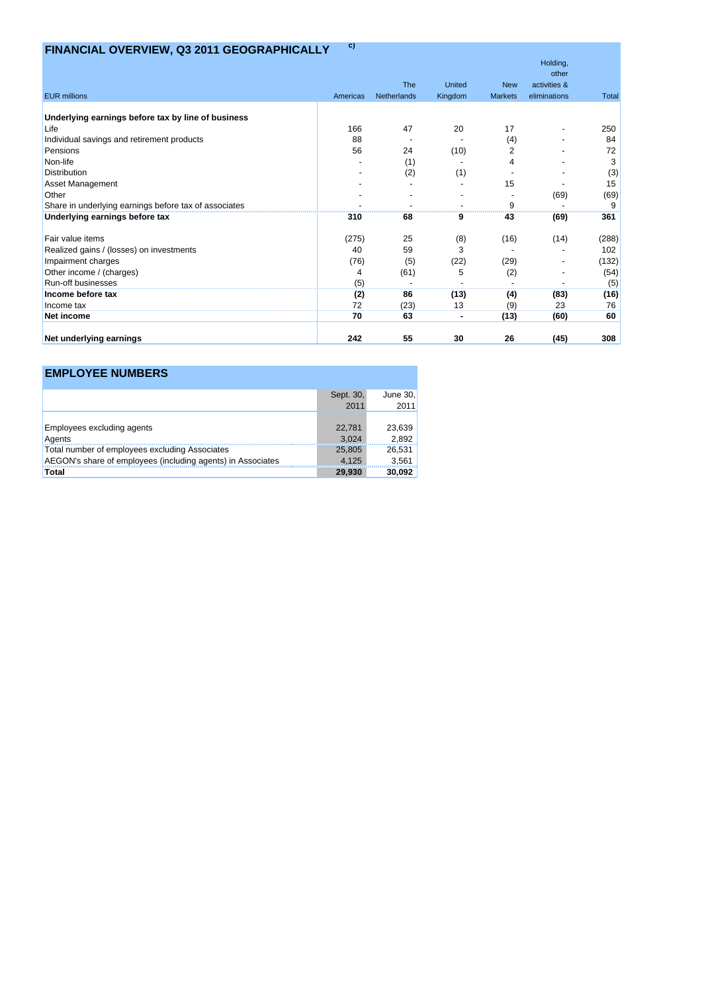# **FINANCIAL OVERVIEW, Q3 2011 GEOGRAPHICALLY c)**

|                                                       |          |             |         |                | Holding,<br>other |              |
|-------------------------------------------------------|----------|-------------|---------|----------------|-------------------|--------------|
|                                                       |          | The         | United  | <b>New</b>     | activities &      |              |
| <b>EUR</b> millions                                   | Americas | Netherlands | Kingdom | <b>Markets</b> | eliminations      | <b>Total</b> |
|                                                       |          |             |         |                |                   |              |
| Underlying earnings before tax by line of business    |          |             |         |                |                   |              |
| Life                                                  | 166      | 47          | 20      | 17             |                   | 250          |
| Individual savings and retirement products            | 88       |             |         | (4)            |                   | 84           |
| Pensions                                              | 56       | 24          | (10)    | 2              |                   | 72           |
| Non-life                                              |          | (1)         |         |                |                   | 3            |
| <b>Distribution</b>                                   |          | (2)         | (1)     |                |                   | (3)          |
| <b>Asset Management</b>                               |          |             |         | 15             |                   | 15           |
| Other                                                 |          |             |         |                | (69)              | (69)         |
| Share in underlying earnings before tax of associates |          |             |         | 9              |                   | 9            |
| Underlying earnings before tax                        | 310      | 68          | 9       | 43             | (69)              | 361          |
| Fair value items                                      | (275)    | 25          | (8)     | (16)           | (14)              | (288)        |
| Realized gains / (losses) on investments              | 40       | 59          | 3       |                |                   | 102          |
| Impairment charges                                    | (76)     | (5)         | (22)    | (29)           |                   | (132)        |
| Other income / (charges)                              | 4        | (61)        | 5       | (2)            |                   | (54)         |
| <b>Run-off businesses</b>                             | (5)      |             |         |                |                   | (5)          |
| Income before tax                                     | (2)      | 86          | (13)    | (4)            | (83)              | (16)         |
| Income tax                                            | 72       | (23)        | 13      | (9)            | 23                | 76           |
| Net income                                            | 70       | 63          |         | (13)           | (60)              | 60           |
| Net underlying earnings                               | 242      | 55          | 30      | 26             | (45)              | 308          |

| <b>EMPLOYEE NUMBERS</b>                                     |                 |                 |
|-------------------------------------------------------------|-----------------|-----------------|
|                                                             | Sept. 30,       | June 30,        |
|                                                             | 2011            | 2011            |
| <b>Employees excluding agents</b><br>Agents                 | 22,781<br>3.024 | 23,639<br>2,892 |
| Total number of employees excluding Associates              | 25.805          | 26,531          |
| AEGON's share of employees (including agents) in Associates | 4.125           | 3,561           |
| Total                                                       | 29.930          | 30,092          |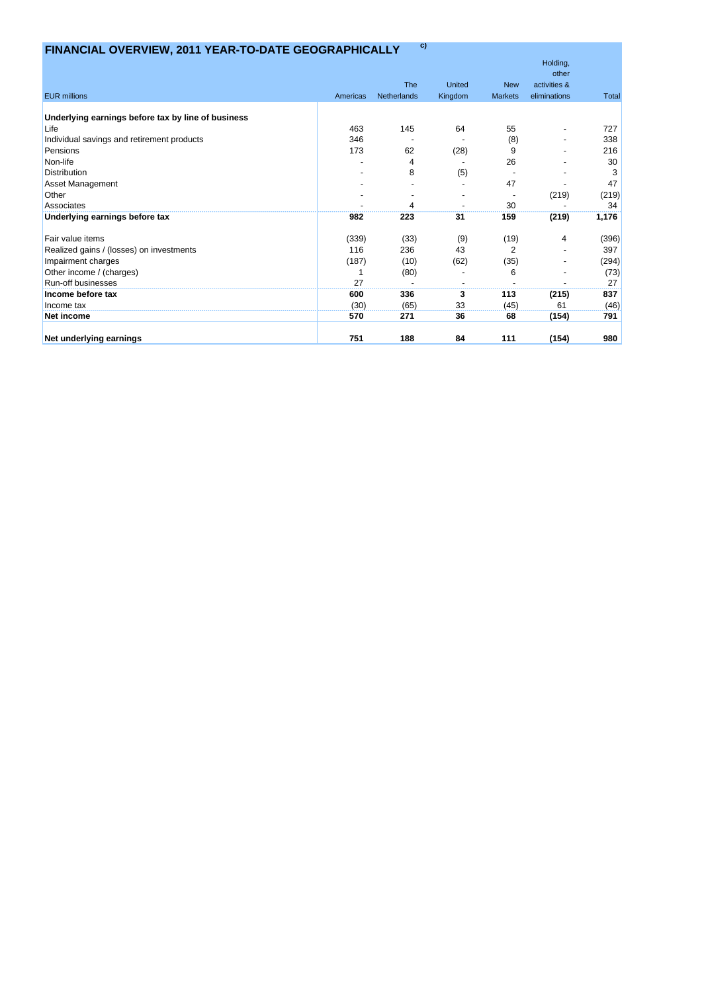# **FINANCIAL OVERVIEW, 2011 YEAR-TO-DATE GEOGRAPHICALLY c)**

|                                                    |          |             |               |                | Holding,     |              |
|----------------------------------------------------|----------|-------------|---------------|----------------|--------------|--------------|
|                                                    |          |             |               |                | other        |              |
|                                                    |          | <b>The</b>  | <b>United</b> | <b>New</b>     | activities & |              |
| <b>EUR</b> millions                                | Americas | Netherlands | Kingdom       | <b>Markets</b> | eliminations | <b>Total</b> |
| Underlying earnings before tax by line of business |          |             |               |                |              |              |
| Life                                               | 463      | 145         | 64            | 55             |              | 727          |
| Individual savings and retirement products         | 346      |             |               | (8)            |              | 338          |
| Pensions                                           | 173      | 62          | (28)          | 9              |              | 216          |
| Non-life                                           |          | 4           |               | 26             |              | 30           |
| <b>Distribution</b>                                |          | 8           | (5)           |                |              | 3            |
| <b>Asset Management</b>                            |          |             |               | 47             |              | 47           |
| Other                                              |          |             |               |                | (219)        | (219)        |
| Associates                                         |          |             |               | 30             |              | 34           |
| Underlying earnings before tax                     | 982      | 223         | 31            | 159            | (219)        | 1,176        |
| Fair value items                                   | (339)    | (33)        | (9)           | (19)           | 4            | (396)        |
| Realized gains / (losses) on investments           | 116      | 236         | 43            | 2              |              | 397          |
| Impairment charges                                 | (187)    | (10)        | (62)          | (35)           |              | (294)        |
| Other income / (charges)                           |          | (80)        |               | 6              |              | (73)         |
| Run-off businesses                                 | 27       |             |               |                |              | 27           |
| Income before tax                                  | 600      | 336         | 3             | 113            | (215)        | 837          |
| Income tax                                         | (30)     | (65)        | 33            | (45)           | 61           | (46)         |
| Net income                                         | 570      | 271         | 36            | 68             | (154)        | 791          |
| Net underlying earnings                            | 751      | 188         | 84            | 111            | (154)        | 980          |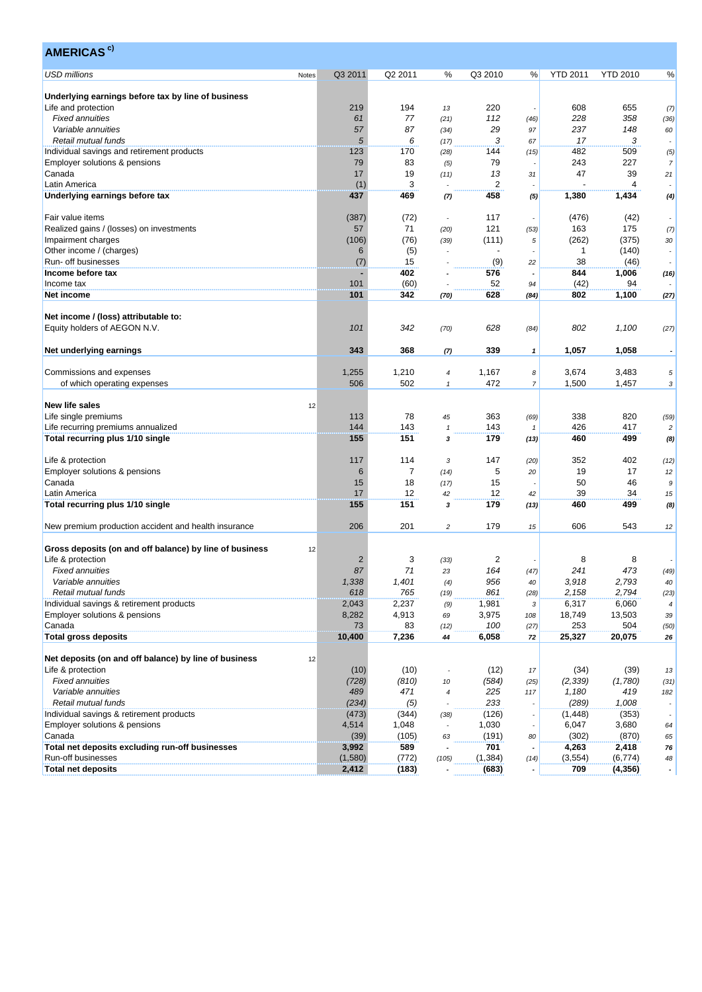| <b>AMERICAS</b> <sup>c)</sup>                                 |                |         |                          |          |                |                 |                 |                          |
|---------------------------------------------------------------|----------------|---------|--------------------------|----------|----------------|-----------------|-----------------|--------------------------|
| <b>USD millions</b><br>Notes                                  | Q3 2011        | Q2 2011 | ℅                        | Q3 2010  | %              | <b>YTD 2011</b> | <b>YTD 2010</b> | %                        |
| Underlying earnings before tax by line of business            |                |         |                          |          |                |                 |                 |                          |
| Life and protection                                           | 219            | 194     | 13                       | 220      |                | 608             | 655             | (7)                      |
| <b>Fixed annuities</b>                                        | 61             | 77      | (21)                     | 112      | (46)           | 228             | 358             | (36)                     |
| Variable annuities                                            | 57             | 87      | (34)                     | 29       | 97             | 237             | 148             | 60                       |
| Retail mutual funds                                           | 5              | 6       | (17)                     | 3        | 67             | 17              | 3               |                          |
| Individual savings and retirement products                    | 123            | 170     |                          | 144      |                | 482             | 509             |                          |
| Employer solutions & pensions                                 | 79             | 83      | (28)                     | 79       | (15)           | 243             | 227             | (5)                      |
|                                                               | 17             | 19      | (5)                      | 13       |                | 47              | 39              | $\overline{7}$           |
| Canada                                                        |                | 3       | (11)                     | 2        | 31             |                 | 4               | 21                       |
| Latin America                                                 | (1)            |         |                          |          |                |                 |                 |                          |
| Underlying earnings before tax                                | 437            | 469     | (7)                      | 458      | (5)            | 1,380           | 1,434           | (4)                      |
| Fair value items                                              | (387)          | (72)    | $\overline{\phantom{a}}$ | 117      |                | (476)           | (42)            |                          |
| Realized gains / (losses) on investments                      | 57             | 71      | (20)                     | 121      | (53)           | 163             | 175             | (7)                      |
| Impairment charges                                            | (106)          | (76)    | (39)                     | (111)    | 5              | (262)           | (375)           | 30                       |
| Other income / (charges)                                      | 6              | (5)     |                          |          |                | 1               | (140)           |                          |
| Run- off businesses                                           | (7)            | 15      |                          | (9)      | 22             | 38              | (46)            |                          |
| Income before tax                                             |                | 402     |                          | 576      |                | 844             | 1,006           | (16)                     |
| Income tax                                                    | 101            | (60)    |                          | 52       | 94             | (42)            | 94              |                          |
| Net income                                                    | 101            | 342     | (70)                     | 628      | (84)           | 802             | 1,100           | (27)                     |
|                                                               |                |         |                          |          |                |                 |                 |                          |
| Net income / (loss) attributable to:                          |                |         |                          |          |                |                 |                 |                          |
| Equity holders of AEGON N.V.                                  | 101            | 342     | (70)                     | 628      | (84)           | 802             | 1,100           | (27)                     |
|                                                               |                |         |                          |          |                |                 |                 |                          |
| Net underlying earnings                                       | 343            | 368     | (7)                      | 339      | $\mathbf{1}$   | 1,057           | 1,058           |                          |
| Commissions and expenses                                      | 1,255          | 1,210   | 4                        | 1,167    | 8              | 3,674           | 3,483           | 5                        |
| of which operating expenses                                   | 506            | 502     | $\mathbf{1}$             | 472      | $\overline{7}$ | 1,500           | 1,457           | 3                        |
|                                                               |                |         |                          |          |                |                 |                 |                          |
| <b>New life sales</b><br>12                                   |                |         |                          |          |                |                 |                 |                          |
| Life single premiums                                          | 113            | 78      | 45                       | 363      | (69)           | 338             | 820             | (59)                     |
| Life recurring premiums annualized                            | 144            | 143     | $\mathbf{1}$             | 143      |                | 426             | 417             | $\overline{c}$           |
| Total recurring plus 1/10 single                              | 155            | 151     | 3                        | 179      | (13)           | 460             | 499             | (8)                      |
|                                                               |                |         |                          |          |                |                 |                 |                          |
| Life & protection                                             | 117            | 114     | 3                        | 147      | (20)           | 352             | 402             | (12)                     |
| Employer solutions & pensions                                 | 6              | 7       | (14)                     | 5        | 20             | 19              | 17              | 12                       |
| Canada                                                        | 15             | 18      | (17)                     | 15       |                | 50              | 46              | 9                        |
| Latin America                                                 | 17             | 12      | 42                       | 12       | 42             | 39              | 34              | 15                       |
| Total recurring plus 1/10 single                              | 155            | 151     | 3                        | 179      | (13)           | 460             | 499             | (8)                      |
|                                                               |                |         |                          |          |                |                 |                 |                          |
| New premium production accident and health insurance          | 206            | 201     | $\overline{c}$           | 179      | 15             | 606             | 543             | 12                       |
|                                                               |                |         |                          |          |                |                 |                 |                          |
| Gross deposits (on and off balance) by line of business<br>12 |                |         |                          |          |                |                 |                 |                          |
| Life & protection                                             | $\overline{2}$ | 3       | (33)                     | 2        |                | 8               | 8               |                          |
| <b>Fixed annuities</b>                                        | 87             | $71$    | 23                       | 164      | (47)           | 241             | 473             | (49)                     |
| Variable annuities                                            | 1,338          | 1,401   | (4)                      | 956      | 40             | 3,918           | 2,793           | 40                       |
| Retail mutual funds                                           | 618            | 765     | (19)                     | 861      | (28)           | 2,158           | 2,794           | (23)                     |
| Individual savings & retirement products                      | 2,043          | 2,237   | (9)                      | 1,981    | 3              | 6,317           | 6,060           | $\overline{\mathcal{A}}$ |
| Employer solutions & pensions                                 | 8,282          | 4,913   | 69                       | 3,975    | 108            | 18,749          | 13,503          | 39                       |
| Canada                                                        | 73             | 83      | (12)                     | 100      | (27)           | 253             | 504             | (50)                     |
| <b>Total gross deposits</b>                                   | 10,400         | 7,236   | 44                       | 6,058    | 72             | 25,327          | 20,075          | 26                       |
| Net deposits (on and off balance) by line of business<br>12   |                |         |                          |          |                |                 |                 |                          |
| Life & protection                                             | (10)           | (10)    |                          | (12)     | 17             | (34)            | (39)            | 13                       |
| <b>Fixed annuities</b>                                        | (728)          | (810)   | 10                       | (584)    | (25)           | (2, 339)        | (1,780)         | (31)                     |
| Variable annuities                                            | 489            | 471     | 4                        | 225      | 117            | 1,180           | 419             | 182                      |
| Retail mutual funds                                           | (234)          | (5)     |                          | 233      |                | (289)           | 1,008           |                          |
| Individual savings & retirement products                      | (473)          | (344)   | (38)                     | (126)    |                | (1, 448)        | (353)           |                          |
| Employer solutions & pensions                                 | 4,514          | 1,048   |                          | 1,030    |                | 6,047           | 3,680           | 64                       |
| Canada                                                        | (39)           | (105)   | 63                       | (191)    | 80             | (302)           | (870)           | 65                       |
| Total net deposits excluding run-off businesses               | 3,992          | 589     |                          | 701      |                | 4,263           | 2,418           | 76                       |
| Run-off businesses                                            | (1,580)        | (772)   | (105)                    | (1, 384) | (14)           | (3, 554)        | (6, 774)        | 48                       |
| <b>Total net deposits</b>                                     | 2,412          | (183)   |                          | (683)    |                | 709             | (4, 356)        | $\bullet$                |
|                                                               |                |         |                          |          |                |                 |                 |                          |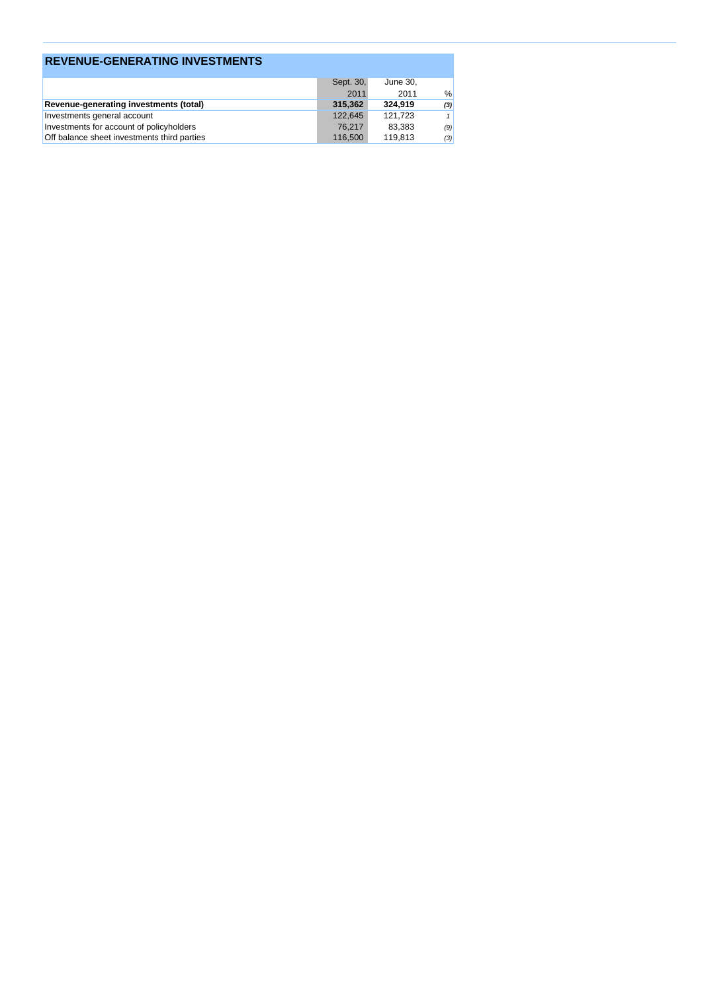| <b>REVENUE-GENERATING INVESTMENTS</b>         |           |          |     |
|-----------------------------------------------|-----------|----------|-----|
|                                               | Sept. 30, | June 30, |     |
|                                               | 2011      | 2011     | %   |
| <b>Revenue-generating investments (total)</b> | 315.362   | 324.919  | (3) |
| Investments general account                   | 122.645   | 121.723  |     |
| Investments for account of policyholders      | 76.217    | 83.383   | (9) |
| Off balance sheet investments third parties   | 116,500   | 119,813  | (3) |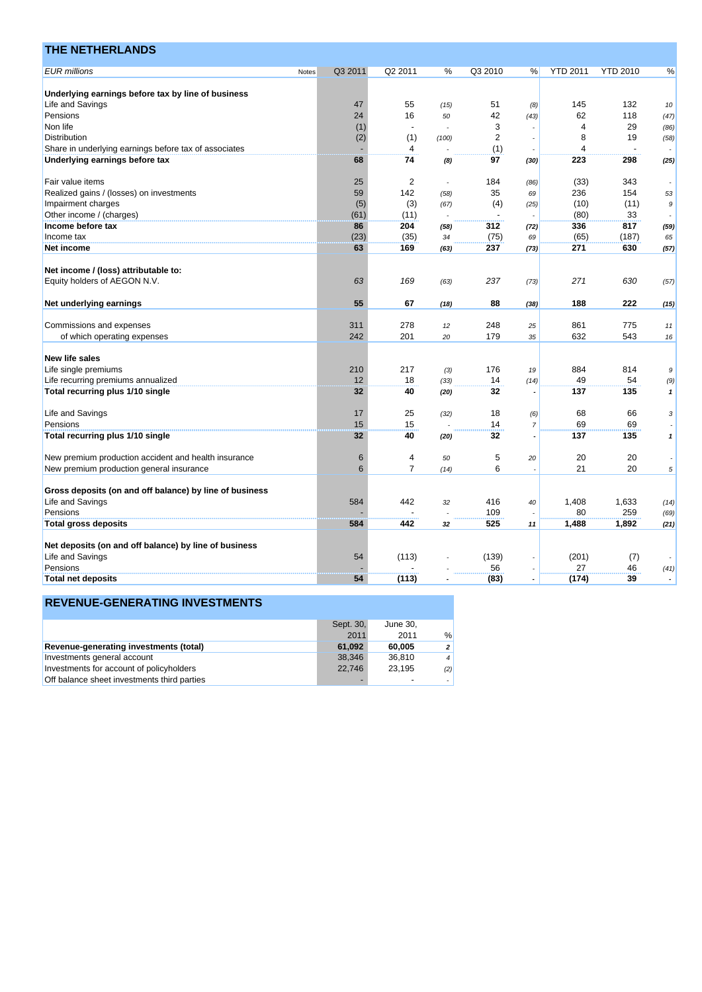| <b>EUR</b> millions<br>Q2 2011<br>Q3 2010<br><b>YTD 2010</b><br>Q3 2011<br>$\%$<br><b>YTD 2011</b><br>%<br>%<br>Notes<br>Underlying earnings before tax by line of business<br>Life and Savings<br>47<br>55<br>51<br>145<br>132<br>(15)<br>(8)<br>10<br>24<br>16<br>42<br>62<br>118<br>Pensions<br>50<br>(43)<br>(47)<br>29<br>Non life<br>(1)<br>3<br>$\overline{4}$<br>(86)<br>$\overline{2}$<br><b>Distribution</b><br>(2)<br>(1)<br>8<br>19<br>(58)<br>(100)<br>Share in underlying earnings before tax of associates<br>4<br>(1)<br>$\overline{\mathcal{A}}$<br>Underlying earnings before tax<br>68<br>74<br>97<br>223<br>298<br>(30)<br>(25)<br>(8)<br>$\overline{2}$<br>Fair value items<br>25<br>184<br>(33)<br>343<br>(86)<br>59<br>142<br>35<br>236<br>154<br>Realized gains / (losses) on investments<br>(58)<br>69<br>53<br>(5)<br>(3)<br>(4)<br>(10)<br>(11)<br>Impairment charges<br>(67)<br>(25)<br>$\boldsymbol{9}$<br>(80)<br>33<br>Other income / (charges)<br>(61)<br>(11)<br>204<br>336<br>817<br>Income before tax<br>86<br>312<br>(58)<br>(72)<br>(59)<br>(23)<br>(65)<br>Income tax<br>(35)<br>(75)<br>(187)<br>34<br>65<br>69<br>630<br>169<br>237<br>271<br>Net income<br>63<br>(57)<br>(63)<br>(73)<br>Net income / (loss) attributable to:<br>Equity holders of AEGON N.V.<br>63<br>169<br>237<br>271<br>630<br>(63)<br>(73)<br>(57)<br>Net underlying earnings<br>55<br>188<br>222<br>67<br>88<br>(18)<br>(15)<br>(38)<br>775<br>Commissions and expenses<br>311<br>278<br>248<br>861<br>12<br>25<br>11<br>179<br>632<br>543<br>242<br>201<br>of which operating expenses<br>35<br>20<br>16<br><b>New life sales</b><br>884<br>Life single premiums<br>210<br>217<br>176<br>814<br>(3)<br>19<br>$\boldsymbol{9}$<br>12<br>18<br>14<br>49<br>54<br>Life recurring premiums annualized<br>(33)<br>(14)<br>(9)<br>135<br>Total recurring plus 1/10 single<br>32<br>32<br>137<br>40<br>$\pmb{\mathcal{I}}$<br>(20)<br>Life and Savings<br>17<br>25<br>18<br>68<br>66<br>(32)<br>(6)<br>3<br>69<br>Pensions<br>15<br>15<br>14<br>69<br>$\overline{7}$<br>Total recurring plus 1/10 single<br>32<br>40<br>32<br>137<br>135<br>(20)<br>$\mathbf{1}$<br>New premium production accident and health insurance<br>5<br>20<br>6<br>4<br>20<br>50<br>20<br>$\overline{7}$<br>21<br>20<br>New premium production general insurance<br>6<br>6<br>5<br>(14)<br>Gross deposits (on and off balance) by line of business<br>Life and Savings<br>584<br>442<br>416<br>1,633<br>1,408<br>32<br>40<br>(14)<br>109<br>80<br>259<br>Pensions<br>(69)<br>525<br><b>Total gross deposits</b><br>584<br>442<br>1,488<br>1,892<br>(21)<br>32<br>11<br>Net deposits (on and off balance) by line of business<br>Life and Savings<br>54<br>(113)<br>(139)<br>(201)<br>(7)<br>27<br>56<br>46<br>Pensions<br>(41)<br>54<br>(83)<br>(174)<br><b>Total net deposits</b><br>(113)<br>39<br>$\overline{\phantom{a}}$<br>$\blacksquare$ | <b>THE NETHERLANDS</b> |  |  |  |  |  |
|-----------------------------------------------------------------------------------------------------------------------------------------------------------------------------------------------------------------------------------------------------------------------------------------------------------------------------------------------------------------------------------------------------------------------------------------------------------------------------------------------------------------------------------------------------------------------------------------------------------------------------------------------------------------------------------------------------------------------------------------------------------------------------------------------------------------------------------------------------------------------------------------------------------------------------------------------------------------------------------------------------------------------------------------------------------------------------------------------------------------------------------------------------------------------------------------------------------------------------------------------------------------------------------------------------------------------------------------------------------------------------------------------------------------------------------------------------------------------------------------------------------------------------------------------------------------------------------------------------------------------------------------------------------------------------------------------------------------------------------------------------------------------------------------------------------------------------------------------------------------------------------------------------------------------------------------------------------------------------------------------------------------------------------------------------------------------------------------------------------------------------------------------------------------------------------------------------------------------------------------------------------------------------------------------------------------------------------------------------------------------------------------------------------------------------------------------------------------------------------------------------------------------------------------------------------------------------------------------------------------------------------------------------------------------------------------------------------------------------------------------------------------------------------------------------------------------------------------------------------------------------------------------------------------------------------|------------------------|--|--|--|--|--|
|                                                                                                                                                                                                                                                                                                                                                                                                                                                                                                                                                                                                                                                                                                                                                                                                                                                                                                                                                                                                                                                                                                                                                                                                                                                                                                                                                                                                                                                                                                                                                                                                                                                                                                                                                                                                                                                                                                                                                                                                                                                                                                                                                                                                                                                                                                                                                                                                                                                                                                                                                                                                                                                                                                                                                                                                                                                                                                                                   |                        |  |  |  |  |  |
|                                                                                                                                                                                                                                                                                                                                                                                                                                                                                                                                                                                                                                                                                                                                                                                                                                                                                                                                                                                                                                                                                                                                                                                                                                                                                                                                                                                                                                                                                                                                                                                                                                                                                                                                                                                                                                                                                                                                                                                                                                                                                                                                                                                                                                                                                                                                                                                                                                                                                                                                                                                                                                                                                                                                                                                                                                                                                                                                   |                        |  |  |  |  |  |
|                                                                                                                                                                                                                                                                                                                                                                                                                                                                                                                                                                                                                                                                                                                                                                                                                                                                                                                                                                                                                                                                                                                                                                                                                                                                                                                                                                                                                                                                                                                                                                                                                                                                                                                                                                                                                                                                                                                                                                                                                                                                                                                                                                                                                                                                                                                                                                                                                                                                                                                                                                                                                                                                                                                                                                                                                                                                                                                                   |                        |  |  |  |  |  |
|                                                                                                                                                                                                                                                                                                                                                                                                                                                                                                                                                                                                                                                                                                                                                                                                                                                                                                                                                                                                                                                                                                                                                                                                                                                                                                                                                                                                                                                                                                                                                                                                                                                                                                                                                                                                                                                                                                                                                                                                                                                                                                                                                                                                                                                                                                                                                                                                                                                                                                                                                                                                                                                                                                                                                                                                                                                                                                                                   |                        |  |  |  |  |  |
|                                                                                                                                                                                                                                                                                                                                                                                                                                                                                                                                                                                                                                                                                                                                                                                                                                                                                                                                                                                                                                                                                                                                                                                                                                                                                                                                                                                                                                                                                                                                                                                                                                                                                                                                                                                                                                                                                                                                                                                                                                                                                                                                                                                                                                                                                                                                                                                                                                                                                                                                                                                                                                                                                                                                                                                                                                                                                                                                   |                        |  |  |  |  |  |
|                                                                                                                                                                                                                                                                                                                                                                                                                                                                                                                                                                                                                                                                                                                                                                                                                                                                                                                                                                                                                                                                                                                                                                                                                                                                                                                                                                                                                                                                                                                                                                                                                                                                                                                                                                                                                                                                                                                                                                                                                                                                                                                                                                                                                                                                                                                                                                                                                                                                                                                                                                                                                                                                                                                                                                                                                                                                                                                                   |                        |  |  |  |  |  |
|                                                                                                                                                                                                                                                                                                                                                                                                                                                                                                                                                                                                                                                                                                                                                                                                                                                                                                                                                                                                                                                                                                                                                                                                                                                                                                                                                                                                                                                                                                                                                                                                                                                                                                                                                                                                                                                                                                                                                                                                                                                                                                                                                                                                                                                                                                                                                                                                                                                                                                                                                                                                                                                                                                                                                                                                                                                                                                                                   |                        |  |  |  |  |  |
|                                                                                                                                                                                                                                                                                                                                                                                                                                                                                                                                                                                                                                                                                                                                                                                                                                                                                                                                                                                                                                                                                                                                                                                                                                                                                                                                                                                                                                                                                                                                                                                                                                                                                                                                                                                                                                                                                                                                                                                                                                                                                                                                                                                                                                                                                                                                                                                                                                                                                                                                                                                                                                                                                                                                                                                                                                                                                                                                   |                        |  |  |  |  |  |
|                                                                                                                                                                                                                                                                                                                                                                                                                                                                                                                                                                                                                                                                                                                                                                                                                                                                                                                                                                                                                                                                                                                                                                                                                                                                                                                                                                                                                                                                                                                                                                                                                                                                                                                                                                                                                                                                                                                                                                                                                                                                                                                                                                                                                                                                                                                                                                                                                                                                                                                                                                                                                                                                                                                                                                                                                                                                                                                                   |                        |  |  |  |  |  |
|                                                                                                                                                                                                                                                                                                                                                                                                                                                                                                                                                                                                                                                                                                                                                                                                                                                                                                                                                                                                                                                                                                                                                                                                                                                                                                                                                                                                                                                                                                                                                                                                                                                                                                                                                                                                                                                                                                                                                                                                                                                                                                                                                                                                                                                                                                                                                                                                                                                                                                                                                                                                                                                                                                                                                                                                                                                                                                                                   |                        |  |  |  |  |  |
|                                                                                                                                                                                                                                                                                                                                                                                                                                                                                                                                                                                                                                                                                                                                                                                                                                                                                                                                                                                                                                                                                                                                                                                                                                                                                                                                                                                                                                                                                                                                                                                                                                                                                                                                                                                                                                                                                                                                                                                                                                                                                                                                                                                                                                                                                                                                                                                                                                                                                                                                                                                                                                                                                                                                                                                                                                                                                                                                   |                        |  |  |  |  |  |
|                                                                                                                                                                                                                                                                                                                                                                                                                                                                                                                                                                                                                                                                                                                                                                                                                                                                                                                                                                                                                                                                                                                                                                                                                                                                                                                                                                                                                                                                                                                                                                                                                                                                                                                                                                                                                                                                                                                                                                                                                                                                                                                                                                                                                                                                                                                                                                                                                                                                                                                                                                                                                                                                                                                                                                                                                                                                                                                                   |                        |  |  |  |  |  |
|                                                                                                                                                                                                                                                                                                                                                                                                                                                                                                                                                                                                                                                                                                                                                                                                                                                                                                                                                                                                                                                                                                                                                                                                                                                                                                                                                                                                                                                                                                                                                                                                                                                                                                                                                                                                                                                                                                                                                                                                                                                                                                                                                                                                                                                                                                                                                                                                                                                                                                                                                                                                                                                                                                                                                                                                                                                                                                                                   |                        |  |  |  |  |  |
|                                                                                                                                                                                                                                                                                                                                                                                                                                                                                                                                                                                                                                                                                                                                                                                                                                                                                                                                                                                                                                                                                                                                                                                                                                                                                                                                                                                                                                                                                                                                                                                                                                                                                                                                                                                                                                                                                                                                                                                                                                                                                                                                                                                                                                                                                                                                                                                                                                                                                                                                                                                                                                                                                                                                                                                                                                                                                                                                   |                        |  |  |  |  |  |
|                                                                                                                                                                                                                                                                                                                                                                                                                                                                                                                                                                                                                                                                                                                                                                                                                                                                                                                                                                                                                                                                                                                                                                                                                                                                                                                                                                                                                                                                                                                                                                                                                                                                                                                                                                                                                                                                                                                                                                                                                                                                                                                                                                                                                                                                                                                                                                                                                                                                                                                                                                                                                                                                                                                                                                                                                                                                                                                                   |                        |  |  |  |  |  |
|                                                                                                                                                                                                                                                                                                                                                                                                                                                                                                                                                                                                                                                                                                                                                                                                                                                                                                                                                                                                                                                                                                                                                                                                                                                                                                                                                                                                                                                                                                                                                                                                                                                                                                                                                                                                                                                                                                                                                                                                                                                                                                                                                                                                                                                                                                                                                                                                                                                                                                                                                                                                                                                                                                                                                                                                                                                                                                                                   |                        |  |  |  |  |  |
|                                                                                                                                                                                                                                                                                                                                                                                                                                                                                                                                                                                                                                                                                                                                                                                                                                                                                                                                                                                                                                                                                                                                                                                                                                                                                                                                                                                                                                                                                                                                                                                                                                                                                                                                                                                                                                                                                                                                                                                                                                                                                                                                                                                                                                                                                                                                                                                                                                                                                                                                                                                                                                                                                                                                                                                                                                                                                                                                   |                        |  |  |  |  |  |
|                                                                                                                                                                                                                                                                                                                                                                                                                                                                                                                                                                                                                                                                                                                                                                                                                                                                                                                                                                                                                                                                                                                                                                                                                                                                                                                                                                                                                                                                                                                                                                                                                                                                                                                                                                                                                                                                                                                                                                                                                                                                                                                                                                                                                                                                                                                                                                                                                                                                                                                                                                                                                                                                                                                                                                                                                                                                                                                                   |                        |  |  |  |  |  |
|                                                                                                                                                                                                                                                                                                                                                                                                                                                                                                                                                                                                                                                                                                                                                                                                                                                                                                                                                                                                                                                                                                                                                                                                                                                                                                                                                                                                                                                                                                                                                                                                                                                                                                                                                                                                                                                                                                                                                                                                                                                                                                                                                                                                                                                                                                                                                                                                                                                                                                                                                                                                                                                                                                                                                                                                                                                                                                                                   |                        |  |  |  |  |  |
|                                                                                                                                                                                                                                                                                                                                                                                                                                                                                                                                                                                                                                                                                                                                                                                                                                                                                                                                                                                                                                                                                                                                                                                                                                                                                                                                                                                                                                                                                                                                                                                                                                                                                                                                                                                                                                                                                                                                                                                                                                                                                                                                                                                                                                                                                                                                                                                                                                                                                                                                                                                                                                                                                                                                                                                                                                                                                                                                   |                        |  |  |  |  |  |
|                                                                                                                                                                                                                                                                                                                                                                                                                                                                                                                                                                                                                                                                                                                                                                                                                                                                                                                                                                                                                                                                                                                                                                                                                                                                                                                                                                                                                                                                                                                                                                                                                                                                                                                                                                                                                                                                                                                                                                                                                                                                                                                                                                                                                                                                                                                                                                                                                                                                                                                                                                                                                                                                                                                                                                                                                                                                                                                                   |                        |  |  |  |  |  |
|                                                                                                                                                                                                                                                                                                                                                                                                                                                                                                                                                                                                                                                                                                                                                                                                                                                                                                                                                                                                                                                                                                                                                                                                                                                                                                                                                                                                                                                                                                                                                                                                                                                                                                                                                                                                                                                                                                                                                                                                                                                                                                                                                                                                                                                                                                                                                                                                                                                                                                                                                                                                                                                                                                                                                                                                                                                                                                                                   |                        |  |  |  |  |  |
|                                                                                                                                                                                                                                                                                                                                                                                                                                                                                                                                                                                                                                                                                                                                                                                                                                                                                                                                                                                                                                                                                                                                                                                                                                                                                                                                                                                                                                                                                                                                                                                                                                                                                                                                                                                                                                                                                                                                                                                                                                                                                                                                                                                                                                                                                                                                                                                                                                                                                                                                                                                                                                                                                                                                                                                                                                                                                                                                   |                        |  |  |  |  |  |
|                                                                                                                                                                                                                                                                                                                                                                                                                                                                                                                                                                                                                                                                                                                                                                                                                                                                                                                                                                                                                                                                                                                                                                                                                                                                                                                                                                                                                                                                                                                                                                                                                                                                                                                                                                                                                                                                                                                                                                                                                                                                                                                                                                                                                                                                                                                                                                                                                                                                                                                                                                                                                                                                                                                                                                                                                                                                                                                                   |                        |  |  |  |  |  |
|                                                                                                                                                                                                                                                                                                                                                                                                                                                                                                                                                                                                                                                                                                                                                                                                                                                                                                                                                                                                                                                                                                                                                                                                                                                                                                                                                                                                                                                                                                                                                                                                                                                                                                                                                                                                                                                                                                                                                                                                                                                                                                                                                                                                                                                                                                                                                                                                                                                                                                                                                                                                                                                                                                                                                                                                                                                                                                                                   |                        |  |  |  |  |  |
|                                                                                                                                                                                                                                                                                                                                                                                                                                                                                                                                                                                                                                                                                                                                                                                                                                                                                                                                                                                                                                                                                                                                                                                                                                                                                                                                                                                                                                                                                                                                                                                                                                                                                                                                                                                                                                                                                                                                                                                                                                                                                                                                                                                                                                                                                                                                                                                                                                                                                                                                                                                                                                                                                                                                                                                                                                                                                                                                   |                        |  |  |  |  |  |
|                                                                                                                                                                                                                                                                                                                                                                                                                                                                                                                                                                                                                                                                                                                                                                                                                                                                                                                                                                                                                                                                                                                                                                                                                                                                                                                                                                                                                                                                                                                                                                                                                                                                                                                                                                                                                                                                                                                                                                                                                                                                                                                                                                                                                                                                                                                                                                                                                                                                                                                                                                                                                                                                                                                                                                                                                                                                                                                                   |                        |  |  |  |  |  |
|                                                                                                                                                                                                                                                                                                                                                                                                                                                                                                                                                                                                                                                                                                                                                                                                                                                                                                                                                                                                                                                                                                                                                                                                                                                                                                                                                                                                                                                                                                                                                                                                                                                                                                                                                                                                                                                                                                                                                                                                                                                                                                                                                                                                                                                                                                                                                                                                                                                                                                                                                                                                                                                                                                                                                                                                                                                                                                                                   |                        |  |  |  |  |  |
|                                                                                                                                                                                                                                                                                                                                                                                                                                                                                                                                                                                                                                                                                                                                                                                                                                                                                                                                                                                                                                                                                                                                                                                                                                                                                                                                                                                                                                                                                                                                                                                                                                                                                                                                                                                                                                                                                                                                                                                                                                                                                                                                                                                                                                                                                                                                                                                                                                                                                                                                                                                                                                                                                                                                                                                                                                                                                                                                   |                        |  |  |  |  |  |
|                                                                                                                                                                                                                                                                                                                                                                                                                                                                                                                                                                                                                                                                                                                                                                                                                                                                                                                                                                                                                                                                                                                                                                                                                                                                                                                                                                                                                                                                                                                                                                                                                                                                                                                                                                                                                                                                                                                                                                                                                                                                                                                                                                                                                                                                                                                                                                                                                                                                                                                                                                                                                                                                                                                                                                                                                                                                                                                                   |                        |  |  |  |  |  |
|                                                                                                                                                                                                                                                                                                                                                                                                                                                                                                                                                                                                                                                                                                                                                                                                                                                                                                                                                                                                                                                                                                                                                                                                                                                                                                                                                                                                                                                                                                                                                                                                                                                                                                                                                                                                                                                                                                                                                                                                                                                                                                                                                                                                                                                                                                                                                                                                                                                                                                                                                                                                                                                                                                                                                                                                                                                                                                                                   |                        |  |  |  |  |  |
|                                                                                                                                                                                                                                                                                                                                                                                                                                                                                                                                                                                                                                                                                                                                                                                                                                                                                                                                                                                                                                                                                                                                                                                                                                                                                                                                                                                                                                                                                                                                                                                                                                                                                                                                                                                                                                                                                                                                                                                                                                                                                                                                                                                                                                                                                                                                                                                                                                                                                                                                                                                                                                                                                                                                                                                                                                                                                                                                   |                        |  |  |  |  |  |
|                                                                                                                                                                                                                                                                                                                                                                                                                                                                                                                                                                                                                                                                                                                                                                                                                                                                                                                                                                                                                                                                                                                                                                                                                                                                                                                                                                                                                                                                                                                                                                                                                                                                                                                                                                                                                                                                                                                                                                                                                                                                                                                                                                                                                                                                                                                                                                                                                                                                                                                                                                                                                                                                                                                                                                                                                                                                                                                                   |                        |  |  |  |  |  |
|                                                                                                                                                                                                                                                                                                                                                                                                                                                                                                                                                                                                                                                                                                                                                                                                                                                                                                                                                                                                                                                                                                                                                                                                                                                                                                                                                                                                                                                                                                                                                                                                                                                                                                                                                                                                                                                                                                                                                                                                                                                                                                                                                                                                                                                                                                                                                                                                                                                                                                                                                                                                                                                                                                                                                                                                                                                                                                                                   |                        |  |  |  |  |  |
|                                                                                                                                                                                                                                                                                                                                                                                                                                                                                                                                                                                                                                                                                                                                                                                                                                                                                                                                                                                                                                                                                                                                                                                                                                                                                                                                                                                                                                                                                                                                                                                                                                                                                                                                                                                                                                                                                                                                                                                                                                                                                                                                                                                                                                                                                                                                                                                                                                                                                                                                                                                                                                                                                                                                                                                                                                                                                                                                   |                        |  |  |  |  |  |
|                                                                                                                                                                                                                                                                                                                                                                                                                                                                                                                                                                                                                                                                                                                                                                                                                                                                                                                                                                                                                                                                                                                                                                                                                                                                                                                                                                                                                                                                                                                                                                                                                                                                                                                                                                                                                                                                                                                                                                                                                                                                                                                                                                                                                                                                                                                                                                                                                                                                                                                                                                                                                                                                                                                                                                                                                                                                                                                                   |                        |  |  |  |  |  |
|                                                                                                                                                                                                                                                                                                                                                                                                                                                                                                                                                                                                                                                                                                                                                                                                                                                                                                                                                                                                                                                                                                                                                                                                                                                                                                                                                                                                                                                                                                                                                                                                                                                                                                                                                                                                                                                                                                                                                                                                                                                                                                                                                                                                                                                                                                                                                                                                                                                                                                                                                                                                                                                                                                                                                                                                                                                                                                                                   |                        |  |  |  |  |  |
|                                                                                                                                                                                                                                                                                                                                                                                                                                                                                                                                                                                                                                                                                                                                                                                                                                                                                                                                                                                                                                                                                                                                                                                                                                                                                                                                                                                                                                                                                                                                                                                                                                                                                                                                                                                                                                                                                                                                                                                                                                                                                                                                                                                                                                                                                                                                                                                                                                                                                                                                                                                                                                                                                                                                                                                                                                                                                                                                   |                        |  |  |  |  |  |
|                                                                                                                                                                                                                                                                                                                                                                                                                                                                                                                                                                                                                                                                                                                                                                                                                                                                                                                                                                                                                                                                                                                                                                                                                                                                                                                                                                                                                                                                                                                                                                                                                                                                                                                                                                                                                                                                                                                                                                                                                                                                                                                                                                                                                                                                                                                                                                                                                                                                                                                                                                                                                                                                                                                                                                                                                                                                                                                                   |                        |  |  |  |  |  |
|                                                                                                                                                                                                                                                                                                                                                                                                                                                                                                                                                                                                                                                                                                                                                                                                                                                                                                                                                                                                                                                                                                                                                                                                                                                                                                                                                                                                                                                                                                                                                                                                                                                                                                                                                                                                                                                                                                                                                                                                                                                                                                                                                                                                                                                                                                                                                                                                                                                                                                                                                                                                                                                                                                                                                                                                                                                                                                                                   |                        |  |  |  |  |  |
|                                                                                                                                                                                                                                                                                                                                                                                                                                                                                                                                                                                                                                                                                                                                                                                                                                                                                                                                                                                                                                                                                                                                                                                                                                                                                                                                                                                                                                                                                                                                                                                                                                                                                                                                                                                                                                                                                                                                                                                                                                                                                                                                                                                                                                                                                                                                                                                                                                                                                                                                                                                                                                                                                                                                                                                                                                                                                                                                   |                        |  |  |  |  |  |

|                                             | Sept. 30, | June 30, |                |
|---------------------------------------------|-----------|----------|----------------|
|                                             | 2011      | 2011     | $\frac{0}{0}$  |
| Revenue-generating investments (total)      | 61.092    | 60.005   | $\overline{2}$ |
| Investments general account                 | 38.346    | 36.810   | $\overline{4}$ |
| Investments for account of policyholders    | 22.746    | 23.195   | (2)            |
| Off balance sheet investments third parties |           |          |                |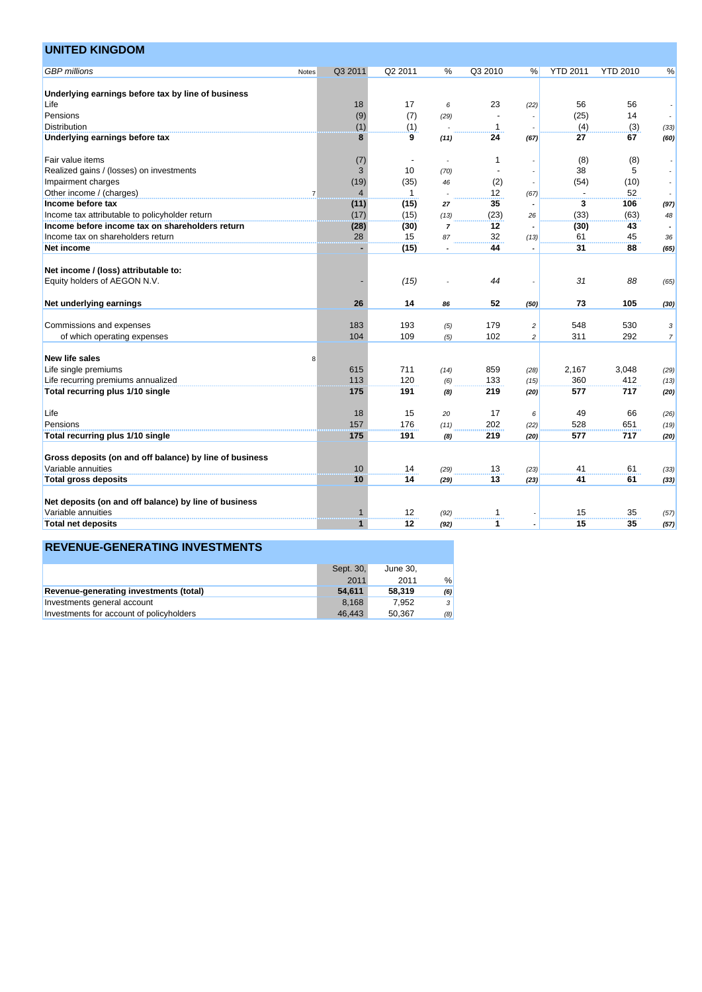| <b>UNITED KINGDOM</b>                                   |                |                |              |                |         |                |                 |                 |                  |
|---------------------------------------------------------|----------------|----------------|--------------|----------------|---------|----------------|-----------------|-----------------|------------------|
| <b>GBP</b> millions                                     | Notes          | Q3 2011        | Q2 2011      | %              | Q3 2010 | %              | <b>YTD 2011</b> | <b>YTD 2010</b> | %                |
| Underlying earnings before tax by line of business      |                |                |              |                |         |                |                 |                 |                  |
| Life                                                    |                | 18             | 17           | 6              | 23      | (22)           | 56              | 56              |                  |
| Pensions                                                |                | (9)            | (7)          | (29)           |         |                | (25)            | 14              |                  |
| <b>Distribution</b>                                     |                | (1)            | (1)          |                | 1       |                | (4)             | (3)             | (33)             |
| Underlying earnings before tax                          |                | 8              | 9            | (11)           | 24      | (67)           | 27              | 67              | (60)             |
| Fair value items                                        |                | (7)            |              |                | 1       |                | (8)             | (8)             |                  |
| Realized gains / (losses) on investments                |                | 3              | 10           | (70)           |         |                | 38              | 5               |                  |
| Impairment charges                                      |                | (19)           | (35)         | 46             | (2)     |                | (54)            | (10)            |                  |
| Other income / (charges)                                | $\overline{7}$ | $\overline{4}$ | $\mathbf{1}$ |                | 12      | (67)           |                 | 52              |                  |
| Income before tax                                       |                | (11)           | (15)         | 27             | 35      |                | 3               | 106             | (97)             |
| Income tax attributable to policyholder return          |                | (17)           | (15)         | (13)           | (23)    | 26             | (33)            | (63)            | 48               |
| Income before income tax on shareholders return         |                | (28)           | (30)         | $\overline{7}$ | 12      |                | (30)            | 43              |                  |
| Income tax on shareholders return                       |                | 28             | 15           | 87             | 32      | (13)           | 61              | 45              | 36               |
| Net income                                              |                |                | (15)         |                | 44      |                | 31              | 88              | (65)             |
| Net income / (loss) attributable to:                    |                |                |              |                |         |                |                 |                 |                  |
| Equity holders of AEGON N.V.                            |                |                | (15)         |                | 44      |                | 31              | 88              | (65)             |
| Net underlying earnings                                 |                | 26             | 14           | 86             | 52      | (50)           | 73              | 105             | (30)             |
| Commissions and expenses                                |                | 183            | 193          | (5)            | 179     | $\overline{c}$ | 548             | 530             | 3                |
| of which operating expenses                             |                | 104            | 109          | (5)            | 102     | $\overline{c}$ | 311             | 292             | $\boldsymbol{7}$ |
|                                                         |                |                |              |                |         |                |                 |                 |                  |
| <b>New life sales</b>                                   | 8              |                |              |                |         |                |                 |                 |                  |
| Life single premiums                                    |                | 615            | 711          | (14)           | 859     | (28)           | 2,167           | 3,048           | (29)             |
| Life recurring premiums annualized                      |                | 113            | 120          | (6)            | 133     | (15)           | 360             | 412             | (13)             |
| Total recurring plus 1/10 single                        |                | 175            | 191          | (8)            | 219     | (20)           | 577             | 717             | (20)             |
| Life                                                    |                | 18             | 15           | 20             | 17      | 6              | 49              | 66              | (26)             |
| Pensions                                                |                | 157            | 176          | (11)           | 202     | (22)           | 528             | 651             | (19)             |
| Total recurring plus 1/10 single                        |                | 175            | 191          | (8)            | 219     | (20)           | 577             | 717             | (20)             |
| Gross deposits (on and off balance) by line of business |                |                |              |                |         |                |                 |                 |                  |
| Variable annuities                                      |                | 10             | 14           | (29)           | 13      | (23)           | 41              | 61              | (33)             |
| <b>Total gross deposits</b>                             |                | 10             | 14           | (29)           | 13      | (23)           | 41              | 61              | (33)             |
|                                                         |                |                |              |                |         |                |                 |                 |                  |
| Net deposits (on and off balance) by line of business   |                |                |              |                |         |                |                 |                 |                  |
| Variable annuities                                      |                | 1              | 12           | (92)           | 1       |                | 15              | 35              | (57)             |
| <b>Total net deposits</b>                               |                | $\mathbf{1}$   | $12 \,$      | (92)           | 1       |                | 15              | 35              | (57)             |
|                                                         |                |                |              |                |         |                |                 |                 |                  |

|                                          | Sept. 30, | June 30. |     |
|------------------------------------------|-----------|----------|-----|
|                                          | 2011      | 2011     | %   |
| Revenue-generating investments (total)   | 54.611    | 58.319   | (6) |
| Investments general account              | 8.168     | 7.952    | 3   |
| Investments for account of policyholders | 46.443    | 50.367   | (8) |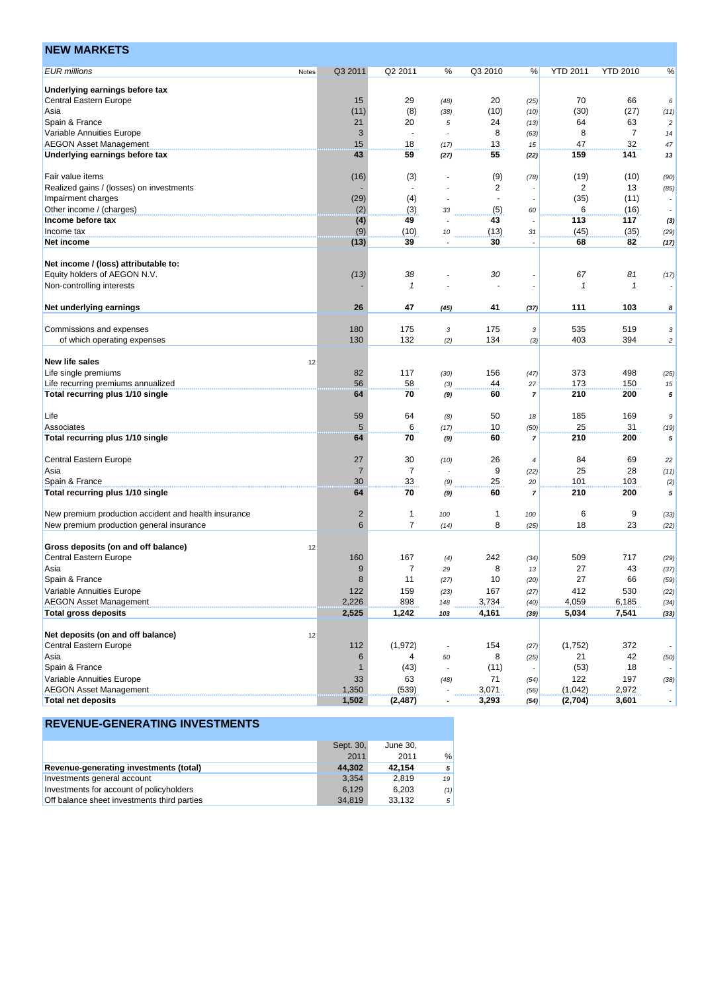| <b>EUR millions</b><br>Q3 2011<br>Q2 2011<br>%<br>Q3 2010<br><b>YTD 2011</b><br><b>YTD 2010</b><br>%<br>%<br>Notes<br>Underlying earnings before tax<br>29<br>70<br><b>Central Eastern Europe</b><br>15<br>20<br>66<br>(48)<br>(25)<br>6<br>(11)<br>(8)<br>(30)<br>(27)<br>(10)<br>Asia<br>(38)<br>(10)<br>(11)<br>Spain & France<br>21<br>20<br>24<br>64<br>63<br>5<br>(13)<br>$\overline{c}$<br>$\overline{7}$<br>Variable Annuities Europe<br>3<br>8<br>8<br>$\blacksquare$<br>(63)<br>14<br>15<br>32<br><b>AEGON Asset Management</b><br>18<br>13<br>47<br>(17)<br>15<br>47<br>141<br>Underlying earnings before tax<br>43<br>59<br>55<br>159<br>(27)<br>(22)<br>13<br>Fair value items<br>(16)<br>(3)<br>(9)<br>(19)<br>(10)<br>(78)<br>(90)<br>$\sqrt{2}$<br>$\overline{c}$<br>13<br>Realized gains / (losses) on investments<br>(85)<br>(29)<br>(4)<br>(35)<br>(11)<br>Impairment charges<br>$\sim$<br>$\overline{\phantom{a}}$<br>(2)<br>Other income / (charges)<br>(3)<br>6<br>(16)<br>(5)<br>33<br>60<br>Income before tax<br>(4)<br>49<br>43<br>113<br>117<br>(3)<br>(9)<br>(45)<br>(10)<br>(13)<br>(35)<br>Income tax<br>10<br>31<br>(29)<br>(13)<br>39<br>30<br>68<br>82<br>Net income<br>(17)<br>Net income / (loss) attributable to:<br>Equity holders of AEGON N.V.<br>(13)<br>38<br>30<br>67<br>81<br>(17)<br>Non-controlling interests<br>$\mathbf{1}$<br>1<br>1<br>26<br>47<br>111<br>103<br>Net underlying earnings<br>41<br>(45)<br>(37)<br>8<br>Commissions and expenses<br>180<br>175<br>175<br>535<br>519<br>3<br>3<br>3<br>130<br>132<br>403<br>394<br>134<br>of which operating expenses<br>(2)<br>(3)<br>$\overline{c}$<br><b>New life sales</b><br>12<br>117<br>373<br>Life single premiums<br>82<br>156<br>498<br>(30)<br>(47)<br>(25)<br>56<br>58<br>44<br>173<br>Life recurring premiums annualized<br>150<br>(3)<br>27<br>15<br>Total recurring plus 1/10 single<br>64<br>70<br>60<br>210<br>200<br>$\overline{7}$<br>5<br>(9)<br>59<br>64<br>50<br>185<br>169<br>Life<br>(8)<br>9<br>18<br>5<br>6<br>25<br>31<br>Associates<br>10<br>(17)<br>(50)<br>(19)<br>210<br>Total recurring plus 1/10 single<br>64<br>70<br>60<br>200<br>(9)<br>5<br>7<br>Central Eastern Europe<br>27<br>30<br>26<br>84<br>69<br>(10)<br>22<br>4<br>$\overline{7}$<br>9<br>$\overline{7}$<br>25<br>28<br>Asia<br>(22)<br>(11)<br>÷.<br>30<br>33<br>25<br>101<br>103<br>Spain & France<br>(9)<br>20<br>(2)<br>64<br>70<br>60<br>210<br>200<br>Total recurring plus 1/10 single<br>(9)<br>$\overline{7}$<br>5<br>New premium production accident and health insurance<br>$\overline{c}$<br>$\mathbf{1}$<br>6<br>9<br>1<br>100<br>100<br>(33)<br>$\overline{7}$<br>6<br>8<br>New premium production general insurance<br>18<br>23<br>(22)<br>(14)<br>(25)<br>Gross deposits (on and off balance)<br>12<br><b>Central Eastern Europe</b><br>160<br>167<br>242<br>509<br>717<br>(4)<br>(34)<br>(29)<br>9<br>7<br>8<br>27<br>43<br>Asia<br>29<br>(37)<br>13<br>Spain & France<br>8<br>11<br>27<br>10<br>66<br>(20)<br>(59)<br>(27)<br>159<br>Variable Annuities Europe<br>122<br>167<br>412<br>530<br>(22)<br>(23)<br>(27)<br><b>AEGON Asset Management</b><br>2,226<br>898<br>3,734<br>4,059<br>6,185<br>148<br>(40)<br>(34)<br>2,525<br>4,161<br>5,034<br>7,541<br><b>Total gross deposits</b><br>1,242<br>103<br>(33)<br>(39)<br>Net deposits (on and off balance)<br>12<br>Central Eastern Europe<br>112<br>(1, 972)<br>154<br>(1,752)<br>372<br>(27)<br>42<br>Asia<br>6<br>8<br>21<br>4<br>(25)<br>(50)<br>50<br>Spain & France<br>(43)<br>(11)<br>(53)<br>18<br>1<br>Variable Annuities Europe<br>33<br>63<br>71<br>122<br>197<br>(38)<br>(48)<br>(54)<br><b>AEGON Asset Management</b><br>1,350<br>(1,042)<br>(539)<br>3,071<br>2,972<br>(56) | <b>NEW MARKETS</b> |  |  |  |  |  |
|-----------------------------------------------------------------------------------------------------------------------------------------------------------------------------------------------------------------------------------------------------------------------------------------------------------------------------------------------------------------------------------------------------------------------------------------------------------------------------------------------------------------------------------------------------------------------------------------------------------------------------------------------------------------------------------------------------------------------------------------------------------------------------------------------------------------------------------------------------------------------------------------------------------------------------------------------------------------------------------------------------------------------------------------------------------------------------------------------------------------------------------------------------------------------------------------------------------------------------------------------------------------------------------------------------------------------------------------------------------------------------------------------------------------------------------------------------------------------------------------------------------------------------------------------------------------------------------------------------------------------------------------------------------------------------------------------------------------------------------------------------------------------------------------------------------------------------------------------------------------------------------------------------------------------------------------------------------------------------------------------------------------------------------------------------------------------------------------------------------------------------------------------------------------------------------------------------------------------------------------------------------------------------------------------------------------------------------------------------------------------------------------------------------------------------------------------------------------------------------------------------------------------------------------------------------------------------------------------------------------------------------------------------------------------------------------------------------------------------------------------------------------------------------------------------------------------------------------------------------------------------------------------------------------------------------------------------------------------------------------------------------------------------------------------------------------------------------------------------------------------------------------------------------------------------------------------------------------------------------------------------------------------------------------------------------------------------------------------------------------------------------------------------------------------------------------------------------------------------------------------------------------------------------------------------------------------------------------------------------------------------------------------------------------------------------------------------------------------------------------------------------|--------------------|--|--|--|--|--|
|                                                                                                                                                                                                                                                                                                                                                                                                                                                                                                                                                                                                                                                                                                                                                                                                                                                                                                                                                                                                                                                                                                                                                                                                                                                                                                                                                                                                                                                                                                                                                                                                                                                                                                                                                                                                                                                                                                                                                                                                                                                                                                                                                                                                                                                                                                                                                                                                                                                                                                                                                                                                                                                                                                                                                                                                                                                                                                                                                                                                                                                                                                                                                                                                                                                                                                                                                                                                                                                                                                                                                                                                                                                                                                                                                           |                    |  |  |  |  |  |
|                                                                                                                                                                                                                                                                                                                                                                                                                                                                                                                                                                                                                                                                                                                                                                                                                                                                                                                                                                                                                                                                                                                                                                                                                                                                                                                                                                                                                                                                                                                                                                                                                                                                                                                                                                                                                                                                                                                                                                                                                                                                                                                                                                                                                                                                                                                                                                                                                                                                                                                                                                                                                                                                                                                                                                                                                                                                                                                                                                                                                                                                                                                                                                                                                                                                                                                                                                                                                                                                                                                                                                                                                                                                                                                                                           |                    |  |  |  |  |  |
|                                                                                                                                                                                                                                                                                                                                                                                                                                                                                                                                                                                                                                                                                                                                                                                                                                                                                                                                                                                                                                                                                                                                                                                                                                                                                                                                                                                                                                                                                                                                                                                                                                                                                                                                                                                                                                                                                                                                                                                                                                                                                                                                                                                                                                                                                                                                                                                                                                                                                                                                                                                                                                                                                                                                                                                                                                                                                                                                                                                                                                                                                                                                                                                                                                                                                                                                                                                                                                                                                                                                                                                                                                                                                                                                                           |                    |  |  |  |  |  |
|                                                                                                                                                                                                                                                                                                                                                                                                                                                                                                                                                                                                                                                                                                                                                                                                                                                                                                                                                                                                                                                                                                                                                                                                                                                                                                                                                                                                                                                                                                                                                                                                                                                                                                                                                                                                                                                                                                                                                                                                                                                                                                                                                                                                                                                                                                                                                                                                                                                                                                                                                                                                                                                                                                                                                                                                                                                                                                                                                                                                                                                                                                                                                                                                                                                                                                                                                                                                                                                                                                                                                                                                                                                                                                                                                           |                    |  |  |  |  |  |
|                                                                                                                                                                                                                                                                                                                                                                                                                                                                                                                                                                                                                                                                                                                                                                                                                                                                                                                                                                                                                                                                                                                                                                                                                                                                                                                                                                                                                                                                                                                                                                                                                                                                                                                                                                                                                                                                                                                                                                                                                                                                                                                                                                                                                                                                                                                                                                                                                                                                                                                                                                                                                                                                                                                                                                                                                                                                                                                                                                                                                                                                                                                                                                                                                                                                                                                                                                                                                                                                                                                                                                                                                                                                                                                                                           |                    |  |  |  |  |  |
|                                                                                                                                                                                                                                                                                                                                                                                                                                                                                                                                                                                                                                                                                                                                                                                                                                                                                                                                                                                                                                                                                                                                                                                                                                                                                                                                                                                                                                                                                                                                                                                                                                                                                                                                                                                                                                                                                                                                                                                                                                                                                                                                                                                                                                                                                                                                                                                                                                                                                                                                                                                                                                                                                                                                                                                                                                                                                                                                                                                                                                                                                                                                                                                                                                                                                                                                                                                                                                                                                                                                                                                                                                                                                                                                                           |                    |  |  |  |  |  |
|                                                                                                                                                                                                                                                                                                                                                                                                                                                                                                                                                                                                                                                                                                                                                                                                                                                                                                                                                                                                                                                                                                                                                                                                                                                                                                                                                                                                                                                                                                                                                                                                                                                                                                                                                                                                                                                                                                                                                                                                                                                                                                                                                                                                                                                                                                                                                                                                                                                                                                                                                                                                                                                                                                                                                                                                                                                                                                                                                                                                                                                                                                                                                                                                                                                                                                                                                                                                                                                                                                                                                                                                                                                                                                                                                           |                    |  |  |  |  |  |
|                                                                                                                                                                                                                                                                                                                                                                                                                                                                                                                                                                                                                                                                                                                                                                                                                                                                                                                                                                                                                                                                                                                                                                                                                                                                                                                                                                                                                                                                                                                                                                                                                                                                                                                                                                                                                                                                                                                                                                                                                                                                                                                                                                                                                                                                                                                                                                                                                                                                                                                                                                                                                                                                                                                                                                                                                                                                                                                                                                                                                                                                                                                                                                                                                                                                                                                                                                                                                                                                                                                                                                                                                                                                                                                                                           |                    |  |  |  |  |  |
|                                                                                                                                                                                                                                                                                                                                                                                                                                                                                                                                                                                                                                                                                                                                                                                                                                                                                                                                                                                                                                                                                                                                                                                                                                                                                                                                                                                                                                                                                                                                                                                                                                                                                                                                                                                                                                                                                                                                                                                                                                                                                                                                                                                                                                                                                                                                                                                                                                                                                                                                                                                                                                                                                                                                                                                                                                                                                                                                                                                                                                                                                                                                                                                                                                                                                                                                                                                                                                                                                                                                                                                                                                                                                                                                                           |                    |  |  |  |  |  |
|                                                                                                                                                                                                                                                                                                                                                                                                                                                                                                                                                                                                                                                                                                                                                                                                                                                                                                                                                                                                                                                                                                                                                                                                                                                                                                                                                                                                                                                                                                                                                                                                                                                                                                                                                                                                                                                                                                                                                                                                                                                                                                                                                                                                                                                                                                                                                                                                                                                                                                                                                                                                                                                                                                                                                                                                                                                                                                                                                                                                                                                                                                                                                                                                                                                                                                                                                                                                                                                                                                                                                                                                                                                                                                                                                           |                    |  |  |  |  |  |
|                                                                                                                                                                                                                                                                                                                                                                                                                                                                                                                                                                                                                                                                                                                                                                                                                                                                                                                                                                                                                                                                                                                                                                                                                                                                                                                                                                                                                                                                                                                                                                                                                                                                                                                                                                                                                                                                                                                                                                                                                                                                                                                                                                                                                                                                                                                                                                                                                                                                                                                                                                                                                                                                                                                                                                                                                                                                                                                                                                                                                                                                                                                                                                                                                                                                                                                                                                                                                                                                                                                                                                                                                                                                                                                                                           |                    |  |  |  |  |  |
|                                                                                                                                                                                                                                                                                                                                                                                                                                                                                                                                                                                                                                                                                                                                                                                                                                                                                                                                                                                                                                                                                                                                                                                                                                                                                                                                                                                                                                                                                                                                                                                                                                                                                                                                                                                                                                                                                                                                                                                                                                                                                                                                                                                                                                                                                                                                                                                                                                                                                                                                                                                                                                                                                                                                                                                                                                                                                                                                                                                                                                                                                                                                                                                                                                                                                                                                                                                                                                                                                                                                                                                                                                                                                                                                                           |                    |  |  |  |  |  |
|                                                                                                                                                                                                                                                                                                                                                                                                                                                                                                                                                                                                                                                                                                                                                                                                                                                                                                                                                                                                                                                                                                                                                                                                                                                                                                                                                                                                                                                                                                                                                                                                                                                                                                                                                                                                                                                                                                                                                                                                                                                                                                                                                                                                                                                                                                                                                                                                                                                                                                                                                                                                                                                                                                                                                                                                                                                                                                                                                                                                                                                                                                                                                                                                                                                                                                                                                                                                                                                                                                                                                                                                                                                                                                                                                           |                    |  |  |  |  |  |
|                                                                                                                                                                                                                                                                                                                                                                                                                                                                                                                                                                                                                                                                                                                                                                                                                                                                                                                                                                                                                                                                                                                                                                                                                                                                                                                                                                                                                                                                                                                                                                                                                                                                                                                                                                                                                                                                                                                                                                                                                                                                                                                                                                                                                                                                                                                                                                                                                                                                                                                                                                                                                                                                                                                                                                                                                                                                                                                                                                                                                                                                                                                                                                                                                                                                                                                                                                                                                                                                                                                                                                                                                                                                                                                                                           |                    |  |  |  |  |  |
|                                                                                                                                                                                                                                                                                                                                                                                                                                                                                                                                                                                                                                                                                                                                                                                                                                                                                                                                                                                                                                                                                                                                                                                                                                                                                                                                                                                                                                                                                                                                                                                                                                                                                                                                                                                                                                                                                                                                                                                                                                                                                                                                                                                                                                                                                                                                                                                                                                                                                                                                                                                                                                                                                                                                                                                                                                                                                                                                                                                                                                                                                                                                                                                                                                                                                                                                                                                                                                                                                                                                                                                                                                                                                                                                                           |                    |  |  |  |  |  |
|                                                                                                                                                                                                                                                                                                                                                                                                                                                                                                                                                                                                                                                                                                                                                                                                                                                                                                                                                                                                                                                                                                                                                                                                                                                                                                                                                                                                                                                                                                                                                                                                                                                                                                                                                                                                                                                                                                                                                                                                                                                                                                                                                                                                                                                                                                                                                                                                                                                                                                                                                                                                                                                                                                                                                                                                                                                                                                                                                                                                                                                                                                                                                                                                                                                                                                                                                                                                                                                                                                                                                                                                                                                                                                                                                           |                    |  |  |  |  |  |
|                                                                                                                                                                                                                                                                                                                                                                                                                                                                                                                                                                                                                                                                                                                                                                                                                                                                                                                                                                                                                                                                                                                                                                                                                                                                                                                                                                                                                                                                                                                                                                                                                                                                                                                                                                                                                                                                                                                                                                                                                                                                                                                                                                                                                                                                                                                                                                                                                                                                                                                                                                                                                                                                                                                                                                                                                                                                                                                                                                                                                                                                                                                                                                                                                                                                                                                                                                                                                                                                                                                                                                                                                                                                                                                                                           |                    |  |  |  |  |  |
|                                                                                                                                                                                                                                                                                                                                                                                                                                                                                                                                                                                                                                                                                                                                                                                                                                                                                                                                                                                                                                                                                                                                                                                                                                                                                                                                                                                                                                                                                                                                                                                                                                                                                                                                                                                                                                                                                                                                                                                                                                                                                                                                                                                                                                                                                                                                                                                                                                                                                                                                                                                                                                                                                                                                                                                                                                                                                                                                                                                                                                                                                                                                                                                                                                                                                                                                                                                                                                                                                                                                                                                                                                                                                                                                                           |                    |  |  |  |  |  |
|                                                                                                                                                                                                                                                                                                                                                                                                                                                                                                                                                                                                                                                                                                                                                                                                                                                                                                                                                                                                                                                                                                                                                                                                                                                                                                                                                                                                                                                                                                                                                                                                                                                                                                                                                                                                                                                                                                                                                                                                                                                                                                                                                                                                                                                                                                                                                                                                                                                                                                                                                                                                                                                                                                                                                                                                                                                                                                                                                                                                                                                                                                                                                                                                                                                                                                                                                                                                                                                                                                                                                                                                                                                                                                                                                           |                    |  |  |  |  |  |
|                                                                                                                                                                                                                                                                                                                                                                                                                                                                                                                                                                                                                                                                                                                                                                                                                                                                                                                                                                                                                                                                                                                                                                                                                                                                                                                                                                                                                                                                                                                                                                                                                                                                                                                                                                                                                                                                                                                                                                                                                                                                                                                                                                                                                                                                                                                                                                                                                                                                                                                                                                                                                                                                                                                                                                                                                                                                                                                                                                                                                                                                                                                                                                                                                                                                                                                                                                                                                                                                                                                                                                                                                                                                                                                                                           |                    |  |  |  |  |  |
|                                                                                                                                                                                                                                                                                                                                                                                                                                                                                                                                                                                                                                                                                                                                                                                                                                                                                                                                                                                                                                                                                                                                                                                                                                                                                                                                                                                                                                                                                                                                                                                                                                                                                                                                                                                                                                                                                                                                                                                                                                                                                                                                                                                                                                                                                                                                                                                                                                                                                                                                                                                                                                                                                                                                                                                                                                                                                                                                                                                                                                                                                                                                                                                                                                                                                                                                                                                                                                                                                                                                                                                                                                                                                                                                                           |                    |  |  |  |  |  |
|                                                                                                                                                                                                                                                                                                                                                                                                                                                                                                                                                                                                                                                                                                                                                                                                                                                                                                                                                                                                                                                                                                                                                                                                                                                                                                                                                                                                                                                                                                                                                                                                                                                                                                                                                                                                                                                                                                                                                                                                                                                                                                                                                                                                                                                                                                                                                                                                                                                                                                                                                                                                                                                                                                                                                                                                                                                                                                                                                                                                                                                                                                                                                                                                                                                                                                                                                                                                                                                                                                                                                                                                                                                                                                                                                           |                    |  |  |  |  |  |
|                                                                                                                                                                                                                                                                                                                                                                                                                                                                                                                                                                                                                                                                                                                                                                                                                                                                                                                                                                                                                                                                                                                                                                                                                                                                                                                                                                                                                                                                                                                                                                                                                                                                                                                                                                                                                                                                                                                                                                                                                                                                                                                                                                                                                                                                                                                                                                                                                                                                                                                                                                                                                                                                                                                                                                                                                                                                                                                                                                                                                                                                                                                                                                                                                                                                                                                                                                                                                                                                                                                                                                                                                                                                                                                                                           |                    |  |  |  |  |  |
|                                                                                                                                                                                                                                                                                                                                                                                                                                                                                                                                                                                                                                                                                                                                                                                                                                                                                                                                                                                                                                                                                                                                                                                                                                                                                                                                                                                                                                                                                                                                                                                                                                                                                                                                                                                                                                                                                                                                                                                                                                                                                                                                                                                                                                                                                                                                                                                                                                                                                                                                                                                                                                                                                                                                                                                                                                                                                                                                                                                                                                                                                                                                                                                                                                                                                                                                                                                                                                                                                                                                                                                                                                                                                                                                                           |                    |  |  |  |  |  |
|                                                                                                                                                                                                                                                                                                                                                                                                                                                                                                                                                                                                                                                                                                                                                                                                                                                                                                                                                                                                                                                                                                                                                                                                                                                                                                                                                                                                                                                                                                                                                                                                                                                                                                                                                                                                                                                                                                                                                                                                                                                                                                                                                                                                                                                                                                                                                                                                                                                                                                                                                                                                                                                                                                                                                                                                                                                                                                                                                                                                                                                                                                                                                                                                                                                                                                                                                                                                                                                                                                                                                                                                                                                                                                                                                           |                    |  |  |  |  |  |
|                                                                                                                                                                                                                                                                                                                                                                                                                                                                                                                                                                                                                                                                                                                                                                                                                                                                                                                                                                                                                                                                                                                                                                                                                                                                                                                                                                                                                                                                                                                                                                                                                                                                                                                                                                                                                                                                                                                                                                                                                                                                                                                                                                                                                                                                                                                                                                                                                                                                                                                                                                                                                                                                                                                                                                                                                                                                                                                                                                                                                                                                                                                                                                                                                                                                                                                                                                                                                                                                                                                                                                                                                                                                                                                                                           |                    |  |  |  |  |  |
|                                                                                                                                                                                                                                                                                                                                                                                                                                                                                                                                                                                                                                                                                                                                                                                                                                                                                                                                                                                                                                                                                                                                                                                                                                                                                                                                                                                                                                                                                                                                                                                                                                                                                                                                                                                                                                                                                                                                                                                                                                                                                                                                                                                                                                                                                                                                                                                                                                                                                                                                                                                                                                                                                                                                                                                                                                                                                                                                                                                                                                                                                                                                                                                                                                                                                                                                                                                                                                                                                                                                                                                                                                                                                                                                                           |                    |  |  |  |  |  |
|                                                                                                                                                                                                                                                                                                                                                                                                                                                                                                                                                                                                                                                                                                                                                                                                                                                                                                                                                                                                                                                                                                                                                                                                                                                                                                                                                                                                                                                                                                                                                                                                                                                                                                                                                                                                                                                                                                                                                                                                                                                                                                                                                                                                                                                                                                                                                                                                                                                                                                                                                                                                                                                                                                                                                                                                                                                                                                                                                                                                                                                                                                                                                                                                                                                                                                                                                                                                                                                                                                                                                                                                                                                                                                                                                           |                    |  |  |  |  |  |
|                                                                                                                                                                                                                                                                                                                                                                                                                                                                                                                                                                                                                                                                                                                                                                                                                                                                                                                                                                                                                                                                                                                                                                                                                                                                                                                                                                                                                                                                                                                                                                                                                                                                                                                                                                                                                                                                                                                                                                                                                                                                                                                                                                                                                                                                                                                                                                                                                                                                                                                                                                                                                                                                                                                                                                                                                                                                                                                                                                                                                                                                                                                                                                                                                                                                                                                                                                                                                                                                                                                                                                                                                                                                                                                                                           |                    |  |  |  |  |  |
|                                                                                                                                                                                                                                                                                                                                                                                                                                                                                                                                                                                                                                                                                                                                                                                                                                                                                                                                                                                                                                                                                                                                                                                                                                                                                                                                                                                                                                                                                                                                                                                                                                                                                                                                                                                                                                                                                                                                                                                                                                                                                                                                                                                                                                                                                                                                                                                                                                                                                                                                                                                                                                                                                                                                                                                                                                                                                                                                                                                                                                                                                                                                                                                                                                                                                                                                                                                                                                                                                                                                                                                                                                                                                                                                                           |                    |  |  |  |  |  |
|                                                                                                                                                                                                                                                                                                                                                                                                                                                                                                                                                                                                                                                                                                                                                                                                                                                                                                                                                                                                                                                                                                                                                                                                                                                                                                                                                                                                                                                                                                                                                                                                                                                                                                                                                                                                                                                                                                                                                                                                                                                                                                                                                                                                                                                                                                                                                                                                                                                                                                                                                                                                                                                                                                                                                                                                                                                                                                                                                                                                                                                                                                                                                                                                                                                                                                                                                                                                                                                                                                                                                                                                                                                                                                                                                           |                    |  |  |  |  |  |
|                                                                                                                                                                                                                                                                                                                                                                                                                                                                                                                                                                                                                                                                                                                                                                                                                                                                                                                                                                                                                                                                                                                                                                                                                                                                                                                                                                                                                                                                                                                                                                                                                                                                                                                                                                                                                                                                                                                                                                                                                                                                                                                                                                                                                                                                                                                                                                                                                                                                                                                                                                                                                                                                                                                                                                                                                                                                                                                                                                                                                                                                                                                                                                                                                                                                                                                                                                                                                                                                                                                                                                                                                                                                                                                                                           |                    |  |  |  |  |  |
|                                                                                                                                                                                                                                                                                                                                                                                                                                                                                                                                                                                                                                                                                                                                                                                                                                                                                                                                                                                                                                                                                                                                                                                                                                                                                                                                                                                                                                                                                                                                                                                                                                                                                                                                                                                                                                                                                                                                                                                                                                                                                                                                                                                                                                                                                                                                                                                                                                                                                                                                                                                                                                                                                                                                                                                                                                                                                                                                                                                                                                                                                                                                                                                                                                                                                                                                                                                                                                                                                                                                                                                                                                                                                                                                                           |                    |  |  |  |  |  |
|                                                                                                                                                                                                                                                                                                                                                                                                                                                                                                                                                                                                                                                                                                                                                                                                                                                                                                                                                                                                                                                                                                                                                                                                                                                                                                                                                                                                                                                                                                                                                                                                                                                                                                                                                                                                                                                                                                                                                                                                                                                                                                                                                                                                                                                                                                                                                                                                                                                                                                                                                                                                                                                                                                                                                                                                                                                                                                                                                                                                                                                                                                                                                                                                                                                                                                                                                                                                                                                                                                                                                                                                                                                                                                                                                           |                    |  |  |  |  |  |
|                                                                                                                                                                                                                                                                                                                                                                                                                                                                                                                                                                                                                                                                                                                                                                                                                                                                                                                                                                                                                                                                                                                                                                                                                                                                                                                                                                                                                                                                                                                                                                                                                                                                                                                                                                                                                                                                                                                                                                                                                                                                                                                                                                                                                                                                                                                                                                                                                                                                                                                                                                                                                                                                                                                                                                                                                                                                                                                                                                                                                                                                                                                                                                                                                                                                                                                                                                                                                                                                                                                                                                                                                                                                                                                                                           |                    |  |  |  |  |  |
|                                                                                                                                                                                                                                                                                                                                                                                                                                                                                                                                                                                                                                                                                                                                                                                                                                                                                                                                                                                                                                                                                                                                                                                                                                                                                                                                                                                                                                                                                                                                                                                                                                                                                                                                                                                                                                                                                                                                                                                                                                                                                                                                                                                                                                                                                                                                                                                                                                                                                                                                                                                                                                                                                                                                                                                                                                                                                                                                                                                                                                                                                                                                                                                                                                                                                                                                                                                                                                                                                                                                                                                                                                                                                                                                                           |                    |  |  |  |  |  |
|                                                                                                                                                                                                                                                                                                                                                                                                                                                                                                                                                                                                                                                                                                                                                                                                                                                                                                                                                                                                                                                                                                                                                                                                                                                                                                                                                                                                                                                                                                                                                                                                                                                                                                                                                                                                                                                                                                                                                                                                                                                                                                                                                                                                                                                                                                                                                                                                                                                                                                                                                                                                                                                                                                                                                                                                                                                                                                                                                                                                                                                                                                                                                                                                                                                                                                                                                                                                                                                                                                                                                                                                                                                                                                                                                           |                    |  |  |  |  |  |
|                                                                                                                                                                                                                                                                                                                                                                                                                                                                                                                                                                                                                                                                                                                                                                                                                                                                                                                                                                                                                                                                                                                                                                                                                                                                                                                                                                                                                                                                                                                                                                                                                                                                                                                                                                                                                                                                                                                                                                                                                                                                                                                                                                                                                                                                                                                                                                                                                                                                                                                                                                                                                                                                                                                                                                                                                                                                                                                                                                                                                                                                                                                                                                                                                                                                                                                                                                                                                                                                                                                                                                                                                                                                                                                                                           |                    |  |  |  |  |  |
|                                                                                                                                                                                                                                                                                                                                                                                                                                                                                                                                                                                                                                                                                                                                                                                                                                                                                                                                                                                                                                                                                                                                                                                                                                                                                                                                                                                                                                                                                                                                                                                                                                                                                                                                                                                                                                                                                                                                                                                                                                                                                                                                                                                                                                                                                                                                                                                                                                                                                                                                                                                                                                                                                                                                                                                                                                                                                                                                                                                                                                                                                                                                                                                                                                                                                                                                                                                                                                                                                                                                                                                                                                                                                                                                                           |                    |  |  |  |  |  |
|                                                                                                                                                                                                                                                                                                                                                                                                                                                                                                                                                                                                                                                                                                                                                                                                                                                                                                                                                                                                                                                                                                                                                                                                                                                                                                                                                                                                                                                                                                                                                                                                                                                                                                                                                                                                                                                                                                                                                                                                                                                                                                                                                                                                                                                                                                                                                                                                                                                                                                                                                                                                                                                                                                                                                                                                                                                                                                                                                                                                                                                                                                                                                                                                                                                                                                                                                                                                                                                                                                                                                                                                                                                                                                                                                           |                    |  |  |  |  |  |
|                                                                                                                                                                                                                                                                                                                                                                                                                                                                                                                                                                                                                                                                                                                                                                                                                                                                                                                                                                                                                                                                                                                                                                                                                                                                                                                                                                                                                                                                                                                                                                                                                                                                                                                                                                                                                                                                                                                                                                                                                                                                                                                                                                                                                                                                                                                                                                                                                                                                                                                                                                                                                                                                                                                                                                                                                                                                                                                                                                                                                                                                                                                                                                                                                                                                                                                                                                                                                                                                                                                                                                                                                                                                                                                                                           |                    |  |  |  |  |  |
|                                                                                                                                                                                                                                                                                                                                                                                                                                                                                                                                                                                                                                                                                                                                                                                                                                                                                                                                                                                                                                                                                                                                                                                                                                                                                                                                                                                                                                                                                                                                                                                                                                                                                                                                                                                                                                                                                                                                                                                                                                                                                                                                                                                                                                                                                                                                                                                                                                                                                                                                                                                                                                                                                                                                                                                                                                                                                                                                                                                                                                                                                                                                                                                                                                                                                                                                                                                                                                                                                                                                                                                                                                                                                                                                                           |                    |  |  |  |  |  |
|                                                                                                                                                                                                                                                                                                                                                                                                                                                                                                                                                                                                                                                                                                                                                                                                                                                                                                                                                                                                                                                                                                                                                                                                                                                                                                                                                                                                                                                                                                                                                                                                                                                                                                                                                                                                                                                                                                                                                                                                                                                                                                                                                                                                                                                                                                                                                                                                                                                                                                                                                                                                                                                                                                                                                                                                                                                                                                                                                                                                                                                                                                                                                                                                                                                                                                                                                                                                                                                                                                                                                                                                                                                                                                                                                           |                    |  |  |  |  |  |
|                                                                                                                                                                                                                                                                                                                                                                                                                                                                                                                                                                                                                                                                                                                                                                                                                                                                                                                                                                                                                                                                                                                                                                                                                                                                                                                                                                                                                                                                                                                                                                                                                                                                                                                                                                                                                                                                                                                                                                                                                                                                                                                                                                                                                                                                                                                                                                                                                                                                                                                                                                                                                                                                                                                                                                                                                                                                                                                                                                                                                                                                                                                                                                                                                                                                                                                                                                                                                                                                                                                                                                                                                                                                                                                                                           |                    |  |  |  |  |  |
|                                                                                                                                                                                                                                                                                                                                                                                                                                                                                                                                                                                                                                                                                                                                                                                                                                                                                                                                                                                                                                                                                                                                                                                                                                                                                                                                                                                                                                                                                                                                                                                                                                                                                                                                                                                                                                                                                                                                                                                                                                                                                                                                                                                                                                                                                                                                                                                                                                                                                                                                                                                                                                                                                                                                                                                                                                                                                                                                                                                                                                                                                                                                                                                                                                                                                                                                                                                                                                                                                                                                                                                                                                                                                                                                                           |                    |  |  |  |  |  |
|                                                                                                                                                                                                                                                                                                                                                                                                                                                                                                                                                                                                                                                                                                                                                                                                                                                                                                                                                                                                                                                                                                                                                                                                                                                                                                                                                                                                                                                                                                                                                                                                                                                                                                                                                                                                                                                                                                                                                                                                                                                                                                                                                                                                                                                                                                                                                                                                                                                                                                                                                                                                                                                                                                                                                                                                                                                                                                                                                                                                                                                                                                                                                                                                                                                                                                                                                                                                                                                                                                                                                                                                                                                                                                                                                           |                    |  |  |  |  |  |
|                                                                                                                                                                                                                                                                                                                                                                                                                                                                                                                                                                                                                                                                                                                                                                                                                                                                                                                                                                                                                                                                                                                                                                                                                                                                                                                                                                                                                                                                                                                                                                                                                                                                                                                                                                                                                                                                                                                                                                                                                                                                                                                                                                                                                                                                                                                                                                                                                                                                                                                                                                                                                                                                                                                                                                                                                                                                                                                                                                                                                                                                                                                                                                                                                                                                                                                                                                                                                                                                                                                                                                                                                                                                                                                                                           |                    |  |  |  |  |  |
|                                                                                                                                                                                                                                                                                                                                                                                                                                                                                                                                                                                                                                                                                                                                                                                                                                                                                                                                                                                                                                                                                                                                                                                                                                                                                                                                                                                                                                                                                                                                                                                                                                                                                                                                                                                                                                                                                                                                                                                                                                                                                                                                                                                                                                                                                                                                                                                                                                                                                                                                                                                                                                                                                                                                                                                                                                                                                                                                                                                                                                                                                                                                                                                                                                                                                                                                                                                                                                                                                                                                                                                                                                                                                                                                                           |                    |  |  |  |  |  |
|                                                                                                                                                                                                                                                                                                                                                                                                                                                                                                                                                                                                                                                                                                                                                                                                                                                                                                                                                                                                                                                                                                                                                                                                                                                                                                                                                                                                                                                                                                                                                                                                                                                                                                                                                                                                                                                                                                                                                                                                                                                                                                                                                                                                                                                                                                                                                                                                                                                                                                                                                                                                                                                                                                                                                                                                                                                                                                                                                                                                                                                                                                                                                                                                                                                                                                                                                                                                                                                                                                                                                                                                                                                                                                                                                           |                    |  |  |  |  |  |
| <b>Total net deposits</b><br>1,502<br>3,293<br>3,601<br>(2, 487)<br>(2,704)<br>(54)<br>$\overline{\phantom{a}}$                                                                                                                                                                                                                                                                                                                                                                                                                                                                                                                                                                                                                                                                                                                                                                                                                                                                                                                                                                                                                                                                                                                                                                                                                                                                                                                                                                                                                                                                                                                                                                                                                                                                                                                                                                                                                                                                                                                                                                                                                                                                                                                                                                                                                                                                                                                                                                                                                                                                                                                                                                                                                                                                                                                                                                                                                                                                                                                                                                                                                                                                                                                                                                                                                                                                                                                                                                                                                                                                                                                                                                                                                                           |                    |  |  |  |  |  |

|                                             | Sept. 30, | June 30. |     |
|---------------------------------------------|-----------|----------|-----|
|                                             | 2011      | 2011     | %   |
| Revenue-generating investments (total)      | 44.302    | 42.154   | 5   |
| Investments general account                 | 3.354     | 2.819    | 19  |
| Investments for account of policyholders    | 6.129     | 6.203    | (1) |
| Off balance sheet investments third parties | 34.819    | 33.132   | 5   |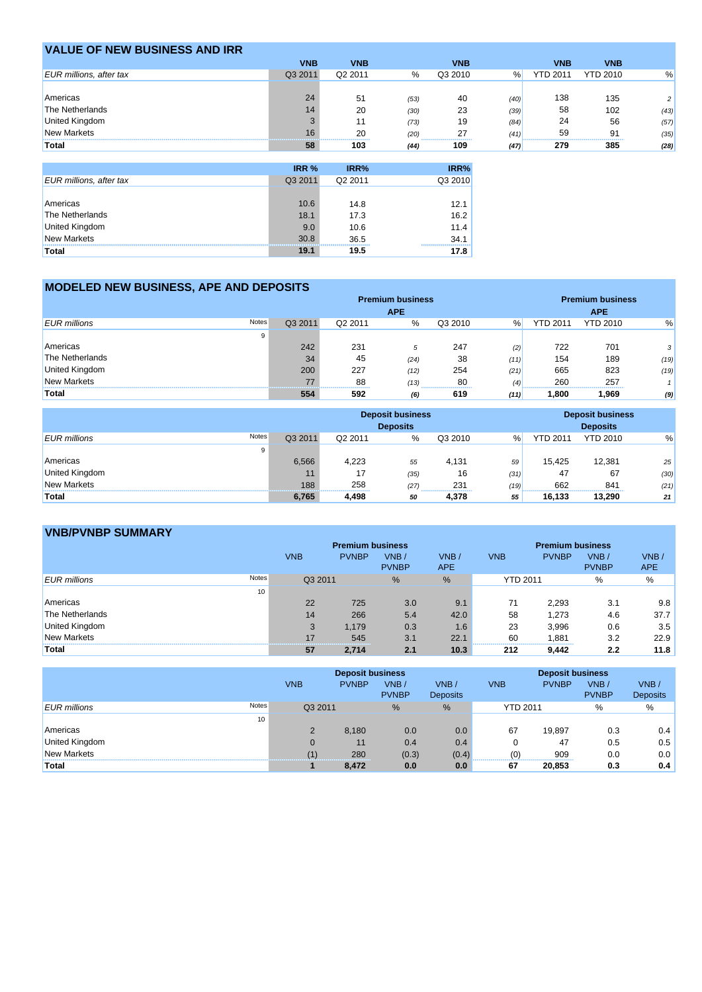| <b>VALUE OF NEW BUSINESS AND IRR</b> |            |                  |      |            |      |                 |                 |      |
|--------------------------------------|------------|------------------|------|------------|------|-----------------|-----------------|------|
|                                      | <b>VNB</b> | <b>VNB</b>       |      | <b>VNB</b> |      | <b>VNB</b>      | <b>VNB</b>      |      |
| <b>EUR</b> millions, after tax       | Q3 2011    | Q2 2011          | %    | Q3 2010    | %    | <b>YTD 2011</b> | <b>YTD 2010</b> | %    |
|                                      |            |                  |      |            |      |                 |                 |      |
| Americas                             | 24         | 51               | (53) | 40         | (40) | 138             | 135             |      |
| The Netherlands                      | 14         | 20               | (30) | 23         | (39) | 58              | 102             | (43) |
| <b>United Kingdom</b>                |            | 11               | (73) | 19         | (84) | 24              | 56              | (57) |
| <b>New Markets</b>                   | 16         | 20<br>---------- | (20) | 27<br>     | (41) | 59              | 91              | (35) |
| Total                                | 58         | 103              | (44) | 109        | (47) | 279             | 385             | (28) |

|                                | IRR %   | IRR%                | IRR%    |
|--------------------------------|---------|---------------------|---------|
| <b>EUR</b> millions, after tax | Q3 2011 | Q <sub>2</sub> 2011 | Q3 2010 |
|                                |         |                     |         |
| Americas                       | 10.6    | 14.8                | 12.1    |
| The Netherlands                | 18.1    | 17.3                | 16.2    |
| United Kingdom                 | 9.0     | 10.6                | 11.4    |
| New Markets                    | 30.8    | 36.5                | 34.1    |
| <b>Total</b>                   | 19.1    | 19.5                | 17.8    |

## **MODELED NEW BUSINESS, APE AND DEPOSITS**

|                              | <b>Premium business</b> |         |            |         |      | <b>Premium business</b> |                 |      |  |
|------------------------------|-------------------------|---------|------------|---------|------|-------------------------|-----------------|------|--|
|                              |                         |         | <b>APE</b> |         |      |                         | <b>APE</b>      |      |  |
| Notes<br><b>EUR</b> millions | Q3 2011                 | Q2 2011 | %          | Q3 2010 | %    | <b>YTD 2011</b>         | <b>YTD 2010</b> | %    |  |
| 9                            |                         |         |            |         |      |                         |                 |      |  |
| Americas                     | 242                     | 231     | 5          | 247     | (2)  | 722                     | 701             |      |  |
| The Netherlands              | 34                      | 45      | (24)       | 38      | (11) | 154                     | 189             | (19) |  |
| <b>United Kingdom</b>        | 200                     | 227     | (12)       | 254     | (21) | 665                     | 823             | (19) |  |
| <b>New Markets</b>           |                         | 88      | (13)       | 80      | (4)  | 260                     | 257             |      |  |
| Total                        | 554                     | 592     | <br>(6)    | 619     | (11) | .800                    | 969.            | (9)  |  |

|                              |         | <b>Deposit business</b><br><b>Deposits</b> |      |                                  |      | <b>Deposit business</b><br><b>Deposits</b> |                 |      |
|------------------------------|---------|--------------------------------------------|------|----------------------------------|------|--------------------------------------------|-----------------|------|
| Notes<br><b>EUR</b> millions | Q3 2011 | Q2 2011                                    | $\%$ | Q3 2010                          | %    | <b>YTD 2011</b>                            | <b>YTD 2010</b> | %    |
| 9                            |         |                                            |      |                                  |      |                                            |                 |      |
| Americas                     | 6,566   | 4.223                                      | 55   | 4.131                            | 59   | 15.425                                     | 12.381          | 25   |
| <b>United Kingdom</b>        |         | 17                                         | (35) | 16                               | (31) | 47                                         | 67              | (30) |
| <b>New Markets</b>           | 188     | 258                                        | (27) | 231<br>------------------------- | (19) | 662                                        | 841             | (21) |
| Total                        | 6,765   | 4.498                                      | 50   | 4.378                            | 55   | 16.133                                     | 13,290          | 21   |

## **VNB/PVNBP SUMMARY**

|                       |       |            | <b>Premium business</b> |                      | <b>Premium business</b> |                 |              |                      |                    |
|-----------------------|-------|------------|-------------------------|----------------------|-------------------------|-----------------|--------------|----------------------|--------------------|
|                       |       | <b>VNB</b> | <b>PVNBP</b>            | VNB/<br><b>PVNBP</b> | VNB/<br>APE             | <b>VNB</b>      | <b>PVNBP</b> | VNB/<br><b>PVNBP</b> | VNB/<br><b>APE</b> |
| <b>EUR</b> millions   | Notes | Q3 2011    |                         | %                    | %                       | <b>YTD 2011</b> |              | $\%$                 | %                  |
|                       | 10    |            |                         |                      |                         |                 |              |                      |                    |
| Americas              |       | 22         | 725                     | 3.0                  | 9.1                     | 71              | 2,293        | 3.1                  | 9.8                |
| The Netherlands       |       | 14         | 266                     | 5.4                  | 42.0                    | 58              | 1,273        | 4.6                  | 37.7               |
| <b>United Kingdom</b> |       | 3          | 1.179                   | 0.3                  | 1.6                     | 23              | 3,996        | 0.6                  | 3.5                |
| <b>New Markets</b>    |       | 17         | 545                     | 3.1                  | 22.1                    | 60<br>-------   | 1.881        | 3.2                  | 22.9               |
| Total                 |       | 57         | 2.714                   | 2.1                  | 10.3                    | 212             | 9.442        | 2.2                  | 11.8               |

|                              |            | <b>Deposit business</b> |                      |                         |                 | <b>Deposit business</b> |                      |                         |  |  |
|------------------------------|------------|-------------------------|----------------------|-------------------------|-----------------|-------------------------|----------------------|-------------------------|--|--|
|                              | <b>VNB</b> | <b>PVNBP</b>            | VNB/<br><b>PVNBP</b> | VNB/<br><b>Deposits</b> | <b>VNB</b>      | <b>PVNBP</b>            | VNB/<br><b>PVNBP</b> | VNB/<br><b>Deposits</b> |  |  |
| Notes<br><b>EUR</b> millions | Q3 2011    |                         | %                    | %                       | <b>YTD 2011</b> |                         | %                    | %                       |  |  |
| 10                           |            |                         |                      |                         |                 |                         |                      |                         |  |  |
| Americas                     |            | 8,180                   | 0.0                  | 0.0                     | 67              | 19.897                  | 0.3                  | 0.4                     |  |  |
| United Kingdom               |            | 11                      | 0.4                  | 0.4                     |                 | 47                      | 0.5                  | 0.5                     |  |  |
| <b>New Markets</b>           |            | 280                     | (0.3)                | (0.4)                   | (0)             | 909                     | 0.0                  | 0.0                     |  |  |
| Total                        |            | 8,472                   | 0.0                  | 0.0                     | 67              | 20,853                  | 0.3                  | 0.4                     |  |  |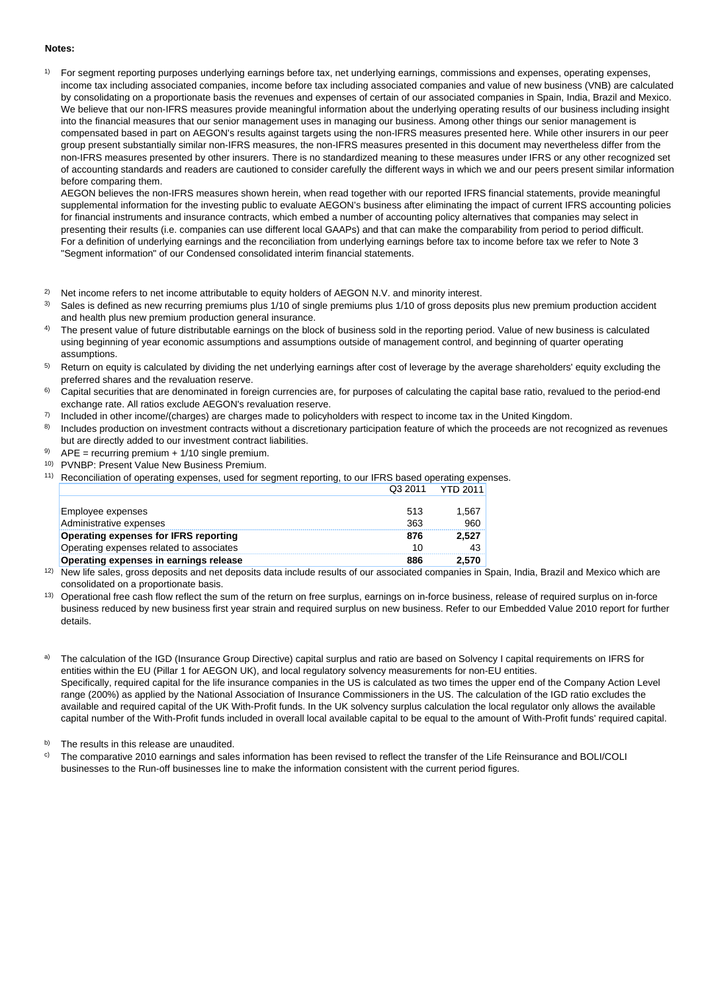#### **Notes:**

1) For segment reporting purposes underlying earnings before tax, net underlying earnings, commissions and expenses, operating expenses, income tax including associated companies, income before tax including associated companies and value of new business (VNB) are calculated by consolidating on a proportionate basis the revenues and expenses of certain of our associated companies in Spain, India, Brazil and Mexico. We believe that our non-IFRS measures provide meaningful information about the underlying operating results of our business including insight into the financial measures that our senior management uses in managing our business. Among other things our senior management is compensated based in part on AEGON's results against targets using the non-IFRS measures presented here. While other insurers in our peer group present substantially similar non-IFRS measures, the non-IFRS measures presented in this document may nevertheless differ from the non-IFRS measures presented by other insurers. There is no standardized meaning to these measures under IFRS or any other recognized set of accounting standards and readers are cautioned to consider carefully the different ways in which we and our peers present similar information before comparing them.

AEGON believes the non-IFRS measures shown herein, when read together with our reported IFRS financial statements, provide meaningful supplemental information for the investing public to evaluate AEGON's business after eliminating the impact of current IFRS accounting policies for financial instruments and insurance contracts, which embed a number of accounting policy alternatives that companies may select in presenting their results (i.e. companies can use different local GAAPs) and that can make the comparability from period to period difficult. For a definition of underlying earnings and the reconciliation from underlying earnings before tax to income before tax we refer to Note 3 "Segment information" of our Condensed consolidated interim financial statements.

- 2) Net income refers to net income attributable to equity holders of AEGON N.V. and minority interest.
- 3) Sales is defined as new recurring premiums plus 1/10 of single premiums plus 1/10 of gross deposits plus new premium production accident and health plus new premium production general insurance.
- 4) The present value of future distributable earnings on the block of business sold in the reporting period. Value of new business is calculated using beginning of year economic assumptions and assumptions outside of management control, and beginning of quarter operating assumptions.
- 5) Return on equity is calculated by dividing the net underlying earnings after cost of leverage by the average shareholders' equity excluding the preferred shares and the revaluation reserve.
- 6) Capital securities that are denominated in foreign currencies are, for purposes of calculating the capital base ratio, revalued to the period-end exchange rate. All ratios exclude AEGON's revaluation reserve.
- 7) Included in other income/(charges) are charges made to policyholders with respect to income tax in the United Kingdom.
- 8) Includes production on investment contracts without a discretionary participation feature of which the proceeds are not recognized as revenues but are directly added to our investment contract liabilities.
- 9) APE = recurring premium + 1/10 single premium.
- 10) PVNBP: Present Value New Business Premium.
- 11) Reconciliation of operating expenses, used for segment reporting, to our IFRS based operating expenses. Q3 2011 YTD 2011

|                                          | . <i>.</i> | .     |
|------------------------------------------|------------|-------|
|                                          |            |       |
| Employee expenses                        | 513        | 1.567 |
| Administrative expenses                  | 363        | 960   |
| Operating expenses for IFRS reporting    | 876        | 2.527 |
| Operating expenses related to associates | 10         | 43    |
| Operating expenses in earnings release   | 886        | 2.570 |

- <sup>12)</sup> New life sales, gross deposits and net deposits data include results of our associated companies in Spain, India, Brazil and Mexico which are consolidated on a proportionate basis.
- <sup>13)</sup> Operational free cash flow reflect the sum of the return on free surplus, earnings on in-force business, release of required surplus on in-force business reduced by new business first year strain and required surplus on new business. Refer to our Embedded Value 2010 report for further details.

The calculation of the IGD (Insurance Group Directive) capital surplus and ratio are based on Solvency I capital requirements on IFRS for entities within the EU (Pillar 1 for AEGON UK), and local regulatory solvency measurements for non-EU entities. Specifically, required capital for the life insurance companies in the US is calculated as two times the upper end of the Company Action Level range (200%) as applied by the National Association of Insurance Commissioners in the US. The calculation of the IGD ratio excludes the available and required capital of the UK With-Profit funds. In the UK solvency surplus calculation the local regulator only allows the available capital number of the With-Profit funds included in overall local available capital to be equal to the amount of With-Profit funds' required capital.

b) The results in this release are unaudited.

 $\degree$  The comparative 2010 earnings and sales information has been revised to reflect the transfer of the Life Reinsurance and BOLI/COLI businesses to the Run-off businesses line to make the information consistent with the current period figures.